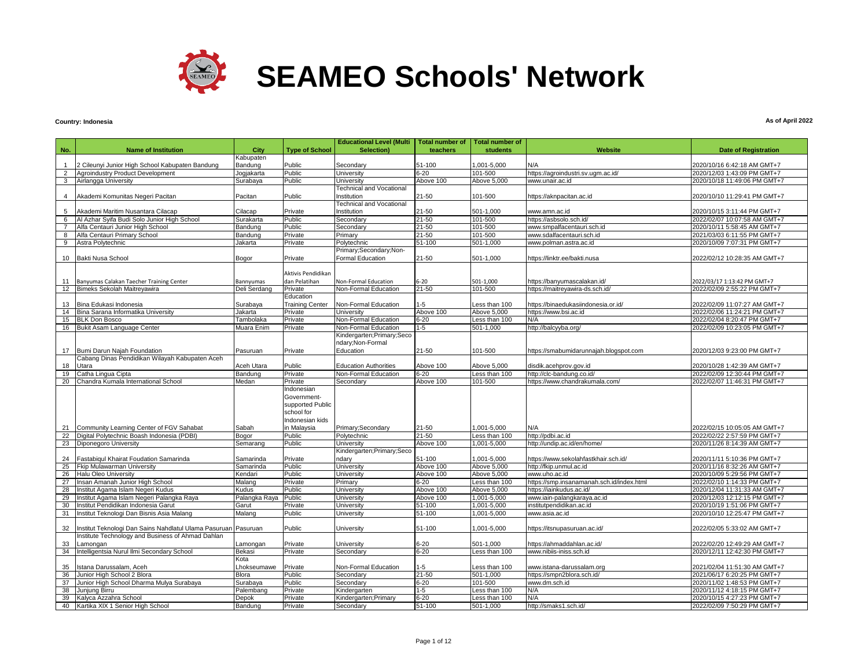

### **Country: Indonesia**

|                |                                                                |               |                        | <b>Educational Level (Multi</b> | <b>Total number of</b> | <b>Total number of</b> |                                           |                              |
|----------------|----------------------------------------------------------------|---------------|------------------------|---------------------------------|------------------------|------------------------|-------------------------------------------|------------------------------|
| No.            | <b>Name of Institution</b>                                     | City          | <b>Type of School</b>  | Selection)                      | teachers               | <b>students</b>        | Website                                   | <b>Date of Registration</b>  |
|                |                                                                | Kabupaten     |                        |                                 |                        |                        |                                           |                              |
| 1              | 2 Cileunyi Junior High School Kabupaten Bandung                | Bandung       | Public                 | Secondary                       | 51-100                 | 000,5-100,1            | N/A                                       | 2020/10/16 6:42:18 AM GMT+7  |
| $\overline{2}$ | Agroindustry Product Development                               | Jogjakarta    | Public                 | University                      | $6 - 20$               | 101-500                | https://agroindustri.sv.ugm.ac.id/        | 2020/12/03 1:43:09 PM GMT+7  |
|                | 3 Airlangga University                                         | Surabaya      | Public                 | University                      | Above 100              | Above 5,000            | www.unair.ac.id                           | 2020/10/18 11:49:06 PM GMT+7 |
|                |                                                                |               |                        | <b>Technical and Vocational</b> |                        |                        |                                           |                              |
| 4              | Akademi Komunitas Negeri Pacitan                               | Pacitan       | Public                 | Institution                     | $21 - 50$              | 101-500                | https://aknpacitan.ac.id                  | 2020/10/10 11:29:41 PM GMT+7 |
|                |                                                                |               |                        | <b>Technical and Vocational</b> |                        |                        |                                           |                              |
| 5              | Akademi Maritim Nusantara Cilacap                              | Cilacap       | Private                | Institution                     | 21-50                  | 501-1,000              | www.amn.ac.id                             | 2020/10/15 3:11:44 PM GMT+7  |
| 6              | Al Azhar Syifa Budi Solo Junior High School                    | Surakarta     | Public                 | Secondary                       | $21 - 50$              | 101-500                | https://asbsolo.sch.id/                   | 2022/02/07 10:07:58 AM GMT+7 |
| $\overline{7}$ | Alfa Centauri Junior High School                               | Bandung       | Public                 | Secondary                       | $21 - 50$              | 101-500                | www.smpalfacentauri.sch.id                | 2020/10/11 5:58:45 AM GMT+7  |
| 8              | Alfa Centauri Primary School                                   | Bandung       | Private                | Primary                         | $21 - 50$              | 101-500                | www.sdalfacentauri.sch.id                 | 2021/03/03 6:11:55 PM GMT+7  |
| 9              | Astra Polytechnic                                              | Jakarta       | Private                | Polytechnic                     | $51 - 100$             | 501-1,000              | www.polman.astra.ac.id                    | 2020/10/09 7:07:31 PM GMT+7  |
|                |                                                                |               |                        | Primary;Secondary;Non-          |                        |                        |                                           |                              |
|                | 10 Bakti Nusa School                                           | Bogor         | Private                | Formal Education                | $21 - 50$              | 501-1,000              | https://linktr.ee/bakti.nusa              | 2022/02/12 10:28:35 AM GMT+7 |
|                |                                                                |               |                        |                                 |                        |                        |                                           |                              |
|                |                                                                |               | Aktivis Pendidikan     |                                 |                        |                        |                                           |                              |
| 11             | Banyumas Calakan Taecher Training Center                       | Bannyumas     | dan Pelatihan          | Non-Formal Education            | 6-20                   | 501-1,000              | https://banvumascalakan.id/               | 2022/03/17 1:13:42 PM GMT+7  |
| 12             | Bimeks Sekolah Maitreyawira                                    | Deli Serdang  | Private                | Non-Formal Education            | $21 - 50$              | 101-500                | https://maitreyawira-ds.sch.id/           | 2022/02/09 2:55:22 PM GMT+7  |
|                |                                                                |               | Education              |                                 |                        |                        |                                           |                              |
| 13             | Bina Edukasi Indonesia                                         | Surabaya      | <b>Training Center</b> | Non-Formal Education            | $1 - 5$                | Less than 100          | https://binaedukasiindonesia.or.id/       | 2022/02/09 11:07:27 AM GMT+7 |
| 14             | Bina Sarana Informatika University                             | Jakarta       | Private                | <b>University</b>               | Above 100              | Above 5,000            | https://www.bsi.ac.id                     | 2022/02/06 11:24:21 PM GMT+7 |
| 15             | <b>BLK Don Bosco</b>                                           | Tambolaka     | Private                | Non-Formal Education            | $6 - 20$               | Less than 100          | N/A                                       | 2022/02/04 8:20:47 PM GMT+7  |
|                | 16 Bukit Asam Language Center                                  | Muara Enim    | Private                | Non-Formal Education            | $1 - 5$                | 501-1,000              | http://balcyyba.org/                      | 2022/02/09 10:23:05 PM GMT+7 |
|                |                                                                |               |                        | Kindergarten; Primary; Seco     |                        |                        |                                           |                              |
|                |                                                                |               |                        | ndary;Non-Formal                |                        |                        |                                           |                              |
| 17             | Bumi Darun Najah Foundation                                    | Pasuruan      | Private                | Education                       | 21-50                  | 101-500                | https://smabumidarunnajah.blogspot.com    | 2020/12/03 9:23:00 PM GMT+7  |
|                | Cabang Dinas Pendidikan Wilayah Kabupaten Aceh                 |               |                        |                                 |                        |                        |                                           |                              |
| 18             | Utara                                                          | Aceh Utara    | Public                 | <b>Education Authorities</b>    | Above 100              | Above 5,000            | disdik.acehprov.gov.id                    | 2020/10/28 1:42:39 AM GMT+7  |
| 19             | Catha Lingua Cipta                                             | Bandung       | Private                | Non-Formal Education            | $6 - 20$               | Less than 100          | http://clc-bandung.co.id/                 | 2022/02/09 12:30:44 PM GMT+7 |
|                | 20 Chandra Kumala International School                         | Medan         | Private                | Secondary                       | Above 100              | 101-500                | https://www.chandrakumala.com/            | 2022/02/07 11:46:31 PM GMT+7 |
|                |                                                                |               | Indonesian             |                                 |                        |                        |                                           |                              |
|                |                                                                |               | Government-            |                                 |                        |                        |                                           |                              |
|                |                                                                |               | supported Public       |                                 |                        |                        |                                           |                              |
|                |                                                                |               | school for             |                                 |                        |                        |                                           |                              |
|                |                                                                |               | Indonesian kids        |                                 |                        |                        |                                           |                              |
|                | 21 Community Learning Center of FGV Sahabat                    | Sabah         | in Malaysia            | Primary; Secondary              | $21 - 50$              | 001-5,000              | N/A                                       | 2022/02/15 10:05:05 AM GMT+7 |
| 22             | Digital Polytechnic Boash Indonesia (PDBI)                     | Bogor         | Public                 | Polytechnic                     | $21 - 50$              | Less than 100          | http://pdbi.ac.id                         | 2022/02/22 2:57:59 PM GMT+7  |
| 23             | Diponegoro University                                          | Semarang      | Public                 | University                      | Above 100              | 1,001-5,000            | http://undip.ac.id/en/home/               | 2020/11/26 8:14:39 AM GMT+7  |
|                |                                                                |               |                        | Kindergarten; Primary; Seco     |                        |                        |                                           |                              |
| 24             | Fastabiqul Khairat Foudation Samarinda                         | Samarinda     | Private                | ndary                           | 51-100                 | 000,5-000,1            | https://www.sekolahfastkhair.sch.id/      | 2020/11/11 5:10:36 PM GMT+7  |
| 25             | <b>Fkip Mulawarman University</b>                              | Samarinda     | Public                 | University                      | Above 100              | Above 5,000            | http://fkip.unmul.ac.id                   | 2020/11/16 8:32:26 AM GMT+7  |
| 26             | <b>Halu Oleo University</b>                                    | Kendari       | Public                 | University                      | Above 100              | Above 5,000            | www.uho.ac.id                             | 2020/10/09 5:29:56 PM GMT+7  |
| 27             | Insan Amanah Junior High School                                | Malang        | Private                | Primary                         | $6 - 20$               | Less than 100          | https://smp.insanamanah.sch.id/index.html | 2022/02/10 1:14:33 PM GMT+7  |
| 28             | Institut Agama Islam Negeri Kudus                              | Kudus         | Public                 | University                      | Above 100              | Above 5,000            | https://iainkudus.ac.id/                  | 2020/12/04 11:31:33 AM GMT+7 |
| 29             | Institut Agama Islam Negeri Palangka Raya                      | Palangka Raya | Public                 | University                      | Above 100              | 1,001-5,000            | www.iain-palangkaraya.ac.id               | 2020/12/03 12:12:15 PM GMT+7 |
| 30             | Institut Pendidikan Indonesia Garut                            | Garut         | Private                | University                      | 51-100                 | 1,001-5,000            | institutpendidikan.ac.id                  | 2020/10/19 1:51:06 PM GMT+7  |
| 31             | Institut Teknologi Dan Bisnis Asia Malang                      | Malang        | Public                 | University                      | $51 - 100$             | 1,001-5,000            | www.asia.ac.id                            | 2020/10/10 12:25:47 PM GMT+7 |
|                |                                                                |               |                        |                                 |                        |                        |                                           |                              |
| 32             | Institut Teknologi Dan Sains Nahdlatul Ulama Pasuruan Pasuruan |               | Public                 | University                      | 51-100                 | 000,5-100,1            | https://itsnupasuruan.ac.id/              | 2022/02/05 5:33:02 AM GMT+7  |
|                | Institute Technology and Business of Ahmad Dahlan              |               |                        |                                 |                        |                        |                                           |                              |
| 33             | Lamongan                                                       | Lamongan      | Private                | University                      | $6 - 20$               | 501-1,000              | https://ahmaddahlan.ac.id/                | 2022/02/20 12:49:29 AM GMT+7 |
| 34             | Intelligentsia Nurul Ilmi Secondary School                     | Bekasi        | Private                | Secondary                       | $6 - 20$               | Less than 100          | www.nibiis-iniss.sch.id                   | 2020/12/11 12:42:30 PM GMT+7 |
|                |                                                                | Kota          |                        |                                 |                        |                        |                                           |                              |
| 35             | Istana Darussalam, Aceh                                        | Lhokseumawe   | Private                | Non-Formal Education            | $1-5$                  | Less than 100          | www.istana-darussalam.org                 | 2021/02/04 11:51:30 AM GMT+7 |
| 36             | Junior High School 2 Blora                                     | <b>Blora</b>  | Public                 | Secondary                       | $21 - 50$              | 501-1,000              | https://smpn2blora.sch.id/                | 2021/06/17 6:20:25 PM GMT+7  |
| 37             | Junior High School Dharma Mulya Surabaya                       | Surabaya      | Public                 | Secondary                       | $6 - 20$               | 101-500                | www.dm.sch.id                             | 2020/11/02 1:48:53 PM GMT+7  |
| 38             | Junjung Birru                                                  | Palembang     | Private                | Kindergarten                    | $1 - 5$                | Less than 100          | N/A                                       | 2020/11/12 4:18:15 PM GMT+7  |
| 39             | Kalyca Azzahra School                                          | Depok         | Private                | Kindergarten; Primary           | $6 - 20$               | Less than 100          | N/A                                       | 2020/10/15 4:27:23 PM GMT+7  |
|                | 40 Kartika XIX 1 Senior High School                            | Bandung       | Private                | Secondary                       | 51-100                 | 501-1,000              | http://smaks1.sch.id/                     | 2022/02/09 7:50:29 PM GMT+7  |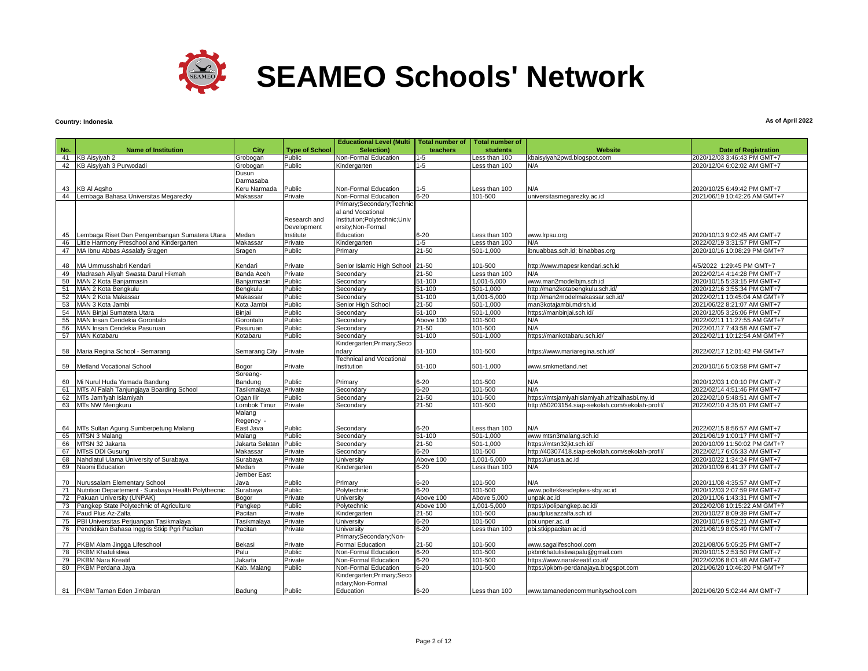

# **Country: Indonesia**

| <b>Educational Level (Multi</b><br><b>Total number of</b><br><b>Total number of</b><br>No.<br><b>Name of Institution</b><br>City<br><b>Type of School</b><br>Selection)<br>teachers<br><b>students</b><br>Website<br>41<br>KB Aisyiyah 2<br>Grobogan<br>Public<br>Non-Formal Education<br>Less than 100<br>kbaisyiyah2pwd.blogspot.com<br>1-5<br>42<br>KB Aisyiyah 3 Purwodadi<br>Public<br>Kindergarten<br>1-5<br>Less than 100<br>Grobogan<br>N/A<br>Dusun<br>Darmasaba<br><b>KB AI Agsho</b><br>43<br>Keru Narmada<br>Public<br>Non-Formal Education<br>1-5<br>Less than 100<br>N/A<br>Lembaga Bahasa Universitas Megarezky<br>Non-Formal Education<br>$6 - 20$<br>101-500<br>44<br>Makassar<br>Private<br>universitasmegarezky.ac.id<br>Primary;Secondary;Technic<br>al and Vocational<br>Institution; Polytechnic; Univ<br>Research and<br>Development<br>ersity; Non-Formal<br>Lembaga Riset Dan Pengembangan Sumatera Utara<br>Medan<br>Institute<br>Education<br>6-20<br>Less than 100<br>45<br>www.lrpsu.org<br>46<br>ittle Harmony Preschool and Kindergarten<br>Kindergarten<br>1-5<br>Less than 100<br>N/A<br>Makassar<br>Private<br>47<br>MA Ibnu Abbas Assalafy Sragen<br>Public<br>$21 - 50$<br>501-1,000<br>Sragen<br>Primary<br>ibnuabbas.sch.id; binabbas.org<br>MA Ummusshabri Kendari<br>Private<br>21-50<br>101-500<br>48<br>Kendari<br>Senior Islamic High School<br>http://www.mapesrikendari.sch.id<br>Madrasah Aliyah Swasta Darul Hikmah<br>21-50<br>49<br>Banda Aceh<br>Private<br>Secondary<br>Less than 100<br>N/A<br>51-100<br>1,001-5,000<br>50<br>MAN 2 Kota Banjarmasin<br>Banjarmasin<br>Public<br>Secondary<br>www.man2modelbjm.sch.id<br>51<br>MAN 2 Kota Bengkulu<br>Public<br>51-100<br>501-1.000<br>http://man2kotabengkulu.sch.id/<br>Bengkulu<br>Secondary<br>MAN 2 Kota Makassar<br>$51 - 100$<br>1,001-5,000<br>52<br>Makassar<br>Public<br>Secondary<br>http://man2modelmakassar.sch.id/<br>53<br>MAN 3 Kota Jambi<br>501-1,000<br>Kota Jambi<br>Public<br>Senior High School<br>21-50<br>man3kotajambi.mdrsh.id<br>$51 - 100$<br>54<br>MAN Binjai Sumatera Utara<br>Binjai<br>Public<br>501-1,000<br>https://manbinjai.sch.id/<br>Secondary<br>55<br>MAN Insan Cendekia Gorontalo<br>Public<br>Above 100<br>101-500<br>N/A<br>Gorontalo<br>Secondary<br>56<br>MAN Insan Cendekia Pasuruan<br>Public<br>21-50<br>101-500<br>N/A<br>Pasuruan<br>Secondary<br>57<br><b>MAN Kotabaru</b><br>Public<br>51-100<br>501-1,000<br>https://mankotabaru.sch.id/<br><b>Kotabaru</b><br>Secondary<br>Kindergarten; Primary; Seco | <b>Date of Registration</b><br>2020/12/03 3:46:43 PM GMT+7<br>2020/12/04 6:02:02 AM GMT+7<br>2020/10/25 6:49:42 PM GMT+7<br>2021/06/19 10:42:26 AM GMT+7<br>2020/10/13 9:02:45 AM GMT+7<br>2022/02/19 3:31:57 PM GMT+7<br>2020/10/16 10:08:29 PM GMT+7<br>4/5/2022 1:29:45 PM GMT+7<br>2022/02/14 4:14:28 PM GMT+7<br>2020/10/15 5:33:15 PM GMT+7<br>2020/12/16 3:55:34 PM GMT+7<br>2022/02/11 10:45:04 AM GMT+7 |
|------------------------------------------------------------------------------------------------------------------------------------------------------------------------------------------------------------------------------------------------------------------------------------------------------------------------------------------------------------------------------------------------------------------------------------------------------------------------------------------------------------------------------------------------------------------------------------------------------------------------------------------------------------------------------------------------------------------------------------------------------------------------------------------------------------------------------------------------------------------------------------------------------------------------------------------------------------------------------------------------------------------------------------------------------------------------------------------------------------------------------------------------------------------------------------------------------------------------------------------------------------------------------------------------------------------------------------------------------------------------------------------------------------------------------------------------------------------------------------------------------------------------------------------------------------------------------------------------------------------------------------------------------------------------------------------------------------------------------------------------------------------------------------------------------------------------------------------------------------------------------------------------------------------------------------------------------------------------------------------------------------------------------------------------------------------------------------------------------------------------------------------------------------------------------------------------------------------------------------------------------------------------------------------------------------------------------------------------------------------------------------------------------------------------------------------------------------------------------------------------------------------------------------------------------------------|------------------------------------------------------------------------------------------------------------------------------------------------------------------------------------------------------------------------------------------------------------------------------------------------------------------------------------------------------------------------------------------------------------------|
|                                                                                                                                                                                                                                                                                                                                                                                                                                                                                                                                                                                                                                                                                                                                                                                                                                                                                                                                                                                                                                                                                                                                                                                                                                                                                                                                                                                                                                                                                                                                                                                                                                                                                                                                                                                                                                                                                                                                                                                                                                                                                                                                                                                                                                                                                                                                                                                                                                                                                                                                                                  |                                                                                                                                                                                                                                                                                                                                                                                                                  |
|                                                                                                                                                                                                                                                                                                                                                                                                                                                                                                                                                                                                                                                                                                                                                                                                                                                                                                                                                                                                                                                                                                                                                                                                                                                                                                                                                                                                                                                                                                                                                                                                                                                                                                                                                                                                                                                                                                                                                                                                                                                                                                                                                                                                                                                                                                                                                                                                                                                                                                                                                                  |                                                                                                                                                                                                                                                                                                                                                                                                                  |
|                                                                                                                                                                                                                                                                                                                                                                                                                                                                                                                                                                                                                                                                                                                                                                                                                                                                                                                                                                                                                                                                                                                                                                                                                                                                                                                                                                                                                                                                                                                                                                                                                                                                                                                                                                                                                                                                                                                                                                                                                                                                                                                                                                                                                                                                                                                                                                                                                                                                                                                                                                  |                                                                                                                                                                                                                                                                                                                                                                                                                  |
|                                                                                                                                                                                                                                                                                                                                                                                                                                                                                                                                                                                                                                                                                                                                                                                                                                                                                                                                                                                                                                                                                                                                                                                                                                                                                                                                                                                                                                                                                                                                                                                                                                                                                                                                                                                                                                                                                                                                                                                                                                                                                                                                                                                                                                                                                                                                                                                                                                                                                                                                                                  |                                                                                                                                                                                                                                                                                                                                                                                                                  |
|                                                                                                                                                                                                                                                                                                                                                                                                                                                                                                                                                                                                                                                                                                                                                                                                                                                                                                                                                                                                                                                                                                                                                                                                                                                                                                                                                                                                                                                                                                                                                                                                                                                                                                                                                                                                                                                                                                                                                                                                                                                                                                                                                                                                                                                                                                                                                                                                                                                                                                                                                                  |                                                                                                                                                                                                                                                                                                                                                                                                                  |
|                                                                                                                                                                                                                                                                                                                                                                                                                                                                                                                                                                                                                                                                                                                                                                                                                                                                                                                                                                                                                                                                                                                                                                                                                                                                                                                                                                                                                                                                                                                                                                                                                                                                                                                                                                                                                                                                                                                                                                                                                                                                                                                                                                                                                                                                                                                                                                                                                                                                                                                                                                  |                                                                                                                                                                                                                                                                                                                                                                                                                  |
|                                                                                                                                                                                                                                                                                                                                                                                                                                                                                                                                                                                                                                                                                                                                                                                                                                                                                                                                                                                                                                                                                                                                                                                                                                                                                                                                                                                                                                                                                                                                                                                                                                                                                                                                                                                                                                                                                                                                                                                                                                                                                                                                                                                                                                                                                                                                                                                                                                                                                                                                                                  |                                                                                                                                                                                                                                                                                                                                                                                                                  |
|                                                                                                                                                                                                                                                                                                                                                                                                                                                                                                                                                                                                                                                                                                                                                                                                                                                                                                                                                                                                                                                                                                                                                                                                                                                                                                                                                                                                                                                                                                                                                                                                                                                                                                                                                                                                                                                                                                                                                                                                                                                                                                                                                                                                                                                                                                                                                                                                                                                                                                                                                                  |                                                                                                                                                                                                                                                                                                                                                                                                                  |
|                                                                                                                                                                                                                                                                                                                                                                                                                                                                                                                                                                                                                                                                                                                                                                                                                                                                                                                                                                                                                                                                                                                                                                                                                                                                                                                                                                                                                                                                                                                                                                                                                                                                                                                                                                                                                                                                                                                                                                                                                                                                                                                                                                                                                                                                                                                                                                                                                                                                                                                                                                  |                                                                                                                                                                                                                                                                                                                                                                                                                  |
|                                                                                                                                                                                                                                                                                                                                                                                                                                                                                                                                                                                                                                                                                                                                                                                                                                                                                                                                                                                                                                                                                                                                                                                                                                                                                                                                                                                                                                                                                                                                                                                                                                                                                                                                                                                                                                                                                                                                                                                                                                                                                                                                                                                                                                                                                                                                                                                                                                                                                                                                                                  |                                                                                                                                                                                                                                                                                                                                                                                                                  |
|                                                                                                                                                                                                                                                                                                                                                                                                                                                                                                                                                                                                                                                                                                                                                                                                                                                                                                                                                                                                                                                                                                                                                                                                                                                                                                                                                                                                                                                                                                                                                                                                                                                                                                                                                                                                                                                                                                                                                                                                                                                                                                                                                                                                                                                                                                                                                                                                                                                                                                                                                                  |                                                                                                                                                                                                                                                                                                                                                                                                                  |
|                                                                                                                                                                                                                                                                                                                                                                                                                                                                                                                                                                                                                                                                                                                                                                                                                                                                                                                                                                                                                                                                                                                                                                                                                                                                                                                                                                                                                                                                                                                                                                                                                                                                                                                                                                                                                                                                                                                                                                                                                                                                                                                                                                                                                                                                                                                                                                                                                                                                                                                                                                  |                                                                                                                                                                                                                                                                                                                                                                                                                  |
|                                                                                                                                                                                                                                                                                                                                                                                                                                                                                                                                                                                                                                                                                                                                                                                                                                                                                                                                                                                                                                                                                                                                                                                                                                                                                                                                                                                                                                                                                                                                                                                                                                                                                                                                                                                                                                                                                                                                                                                                                                                                                                                                                                                                                                                                                                                                                                                                                                                                                                                                                                  |                                                                                                                                                                                                                                                                                                                                                                                                                  |
|                                                                                                                                                                                                                                                                                                                                                                                                                                                                                                                                                                                                                                                                                                                                                                                                                                                                                                                                                                                                                                                                                                                                                                                                                                                                                                                                                                                                                                                                                                                                                                                                                                                                                                                                                                                                                                                                                                                                                                                                                                                                                                                                                                                                                                                                                                                                                                                                                                                                                                                                                                  |                                                                                                                                                                                                                                                                                                                                                                                                                  |
|                                                                                                                                                                                                                                                                                                                                                                                                                                                                                                                                                                                                                                                                                                                                                                                                                                                                                                                                                                                                                                                                                                                                                                                                                                                                                                                                                                                                                                                                                                                                                                                                                                                                                                                                                                                                                                                                                                                                                                                                                                                                                                                                                                                                                                                                                                                                                                                                                                                                                                                                                                  |                                                                                                                                                                                                                                                                                                                                                                                                                  |
|                                                                                                                                                                                                                                                                                                                                                                                                                                                                                                                                                                                                                                                                                                                                                                                                                                                                                                                                                                                                                                                                                                                                                                                                                                                                                                                                                                                                                                                                                                                                                                                                                                                                                                                                                                                                                                                                                                                                                                                                                                                                                                                                                                                                                                                                                                                                                                                                                                                                                                                                                                  |                                                                                                                                                                                                                                                                                                                                                                                                                  |
|                                                                                                                                                                                                                                                                                                                                                                                                                                                                                                                                                                                                                                                                                                                                                                                                                                                                                                                                                                                                                                                                                                                                                                                                                                                                                                                                                                                                                                                                                                                                                                                                                                                                                                                                                                                                                                                                                                                                                                                                                                                                                                                                                                                                                                                                                                                                                                                                                                                                                                                                                                  |                                                                                                                                                                                                                                                                                                                                                                                                                  |
|                                                                                                                                                                                                                                                                                                                                                                                                                                                                                                                                                                                                                                                                                                                                                                                                                                                                                                                                                                                                                                                                                                                                                                                                                                                                                                                                                                                                                                                                                                                                                                                                                                                                                                                                                                                                                                                                                                                                                                                                                                                                                                                                                                                                                                                                                                                                                                                                                                                                                                                                                                  |                                                                                                                                                                                                                                                                                                                                                                                                                  |
|                                                                                                                                                                                                                                                                                                                                                                                                                                                                                                                                                                                                                                                                                                                                                                                                                                                                                                                                                                                                                                                                                                                                                                                                                                                                                                                                                                                                                                                                                                                                                                                                                                                                                                                                                                                                                                                                                                                                                                                                                                                                                                                                                                                                                                                                                                                                                                                                                                                                                                                                                                  |                                                                                                                                                                                                                                                                                                                                                                                                                  |
|                                                                                                                                                                                                                                                                                                                                                                                                                                                                                                                                                                                                                                                                                                                                                                                                                                                                                                                                                                                                                                                                                                                                                                                                                                                                                                                                                                                                                                                                                                                                                                                                                                                                                                                                                                                                                                                                                                                                                                                                                                                                                                                                                                                                                                                                                                                                                                                                                                                                                                                                                                  | 2021/06/22 8:21:07 AM GMT+7                                                                                                                                                                                                                                                                                                                                                                                      |
|                                                                                                                                                                                                                                                                                                                                                                                                                                                                                                                                                                                                                                                                                                                                                                                                                                                                                                                                                                                                                                                                                                                                                                                                                                                                                                                                                                                                                                                                                                                                                                                                                                                                                                                                                                                                                                                                                                                                                                                                                                                                                                                                                                                                                                                                                                                                                                                                                                                                                                                                                                  | 2020/12/05 3:26:06 PM GMT+7                                                                                                                                                                                                                                                                                                                                                                                      |
|                                                                                                                                                                                                                                                                                                                                                                                                                                                                                                                                                                                                                                                                                                                                                                                                                                                                                                                                                                                                                                                                                                                                                                                                                                                                                                                                                                                                                                                                                                                                                                                                                                                                                                                                                                                                                                                                                                                                                                                                                                                                                                                                                                                                                                                                                                                                                                                                                                                                                                                                                                  | 2022/02/11 11:27:55 AM GMT+7                                                                                                                                                                                                                                                                                                                                                                                     |
|                                                                                                                                                                                                                                                                                                                                                                                                                                                                                                                                                                                                                                                                                                                                                                                                                                                                                                                                                                                                                                                                                                                                                                                                                                                                                                                                                                                                                                                                                                                                                                                                                                                                                                                                                                                                                                                                                                                                                                                                                                                                                                                                                                                                                                                                                                                                                                                                                                                                                                                                                                  | 2022/01/17 7:43:58 AM GMT+7                                                                                                                                                                                                                                                                                                                                                                                      |
|                                                                                                                                                                                                                                                                                                                                                                                                                                                                                                                                                                                                                                                                                                                                                                                                                                                                                                                                                                                                                                                                                                                                                                                                                                                                                                                                                                                                                                                                                                                                                                                                                                                                                                                                                                                                                                                                                                                                                                                                                                                                                                                                                                                                                                                                                                                                                                                                                                                                                                                                                                  | 2022/02/11 10:12:54 AM GMT+7                                                                                                                                                                                                                                                                                                                                                                                     |
|                                                                                                                                                                                                                                                                                                                                                                                                                                                                                                                                                                                                                                                                                                                                                                                                                                                                                                                                                                                                                                                                                                                                                                                                                                                                                                                                                                                                                                                                                                                                                                                                                                                                                                                                                                                                                                                                                                                                                                                                                                                                                                                                                                                                                                                                                                                                                                                                                                                                                                                                                                  |                                                                                                                                                                                                                                                                                                                                                                                                                  |
| 101-500<br>58<br>Maria Regina School - Semarang<br>Semarang City<br>Private<br>51-100<br>https://www.mariaregina.sch.id/<br>ndary                                                                                                                                                                                                                                                                                                                                                                                                                                                                                                                                                                                                                                                                                                                                                                                                                                                                                                                                                                                                                                                                                                                                                                                                                                                                                                                                                                                                                                                                                                                                                                                                                                                                                                                                                                                                                                                                                                                                                                                                                                                                                                                                                                                                                                                                                                                                                                                                                                | 2022/02/17 12:01:42 PM GMT+7                                                                                                                                                                                                                                                                                                                                                                                     |
| <b>Technical and Vocational</b>                                                                                                                                                                                                                                                                                                                                                                                                                                                                                                                                                                                                                                                                                                                                                                                                                                                                                                                                                                                                                                                                                                                                                                                                                                                                                                                                                                                                                                                                                                                                                                                                                                                                                                                                                                                                                                                                                                                                                                                                                                                                                                                                                                                                                                                                                                                                                                                                                                                                                                                                  |                                                                                                                                                                                                                                                                                                                                                                                                                  |
| 59<br>51-100<br>501-1.000<br>Metland Vocational School<br>Private<br>Institution<br>www.smkmetland.net<br>Bogor                                                                                                                                                                                                                                                                                                                                                                                                                                                                                                                                                                                                                                                                                                                                                                                                                                                                                                                                                                                                                                                                                                                                                                                                                                                                                                                                                                                                                                                                                                                                                                                                                                                                                                                                                                                                                                                                                                                                                                                                                                                                                                                                                                                                                                                                                                                                                                                                                                                  | 2020/10/16 5:03:58 PM GMT+7                                                                                                                                                                                                                                                                                                                                                                                      |
| Soreang-                                                                                                                                                                                                                                                                                                                                                                                                                                                                                                                                                                                                                                                                                                                                                                                                                                                                                                                                                                                                                                                                                                                                                                                                                                                                                                                                                                                                                                                                                                                                                                                                                                                                                                                                                                                                                                                                                                                                                                                                                                                                                                                                                                                                                                                                                                                                                                                                                                                                                                                                                         |                                                                                                                                                                                                                                                                                                                                                                                                                  |
| Public<br>101-500<br>60<br>Mi Nurul Huda Yamada Bandung<br>Bandung<br>Primary<br>6-20<br>N/A                                                                                                                                                                                                                                                                                                                                                                                                                                                                                                                                                                                                                                                                                                                                                                                                                                                                                                                                                                                                                                                                                                                                                                                                                                                                                                                                                                                                                                                                                                                                                                                                                                                                                                                                                                                                                                                                                                                                                                                                                                                                                                                                                                                                                                                                                                                                                                                                                                                                     | 2020/12/03 1:00:10 PM GMT+7                                                                                                                                                                                                                                                                                                                                                                                      |
| MTs Al Falah Tanjungjaya Boarding School<br>$6 - 20$<br>101-500<br>N/A<br>61<br>Tasikmalaya<br>Private<br>Secondary                                                                                                                                                                                                                                                                                                                                                                                                                                                                                                                                                                                                                                                                                                                                                                                                                                                                                                                                                                                                                                                                                                                                                                                                                                                                                                                                                                                                                                                                                                                                                                                                                                                                                                                                                                                                                                                                                                                                                                                                                                                                                                                                                                                                                                                                                                                                                                                                                                              | 2022/02/14 4:51:46 PM GMT+7                                                                                                                                                                                                                                                                                                                                                                                      |
| 62<br>MTs Jam'lyah Islamiyah<br>Ogan Ilir<br>Public<br>21-50<br>101-500<br>https://mtsjamiyahislamiyah.afrizalhasbi.my.id<br>Secondary                                                                                                                                                                                                                                                                                                                                                                                                                                                                                                                                                                                                                                                                                                                                                                                                                                                                                                                                                                                                                                                                                                                                                                                                                                                                                                                                                                                                                                                                                                                                                                                                                                                                                                                                                                                                                                                                                                                                                                                                                                                                                                                                                                                                                                                                                                                                                                                                                           | 2022/02/10 5:48:51 AM GMT+7                                                                                                                                                                                                                                                                                                                                                                                      |
| MTs NW Mengkuru<br>63<br>_ombok Timur<br>21-50<br>101-500<br>http://50203154.siap-sekolah.com/sekolah-profil/<br>Private<br>Secondary                                                                                                                                                                                                                                                                                                                                                                                                                                                                                                                                                                                                                                                                                                                                                                                                                                                                                                                                                                                                                                                                                                                                                                                                                                                                                                                                                                                                                                                                                                                                                                                                                                                                                                                                                                                                                                                                                                                                                                                                                                                                                                                                                                                                                                                                                                                                                                                                                            | 2022/02/10 4:35:01 PM GMT+7                                                                                                                                                                                                                                                                                                                                                                                      |
| Malang                                                                                                                                                                                                                                                                                                                                                                                                                                                                                                                                                                                                                                                                                                                                                                                                                                                                                                                                                                                                                                                                                                                                                                                                                                                                                                                                                                                                                                                                                                                                                                                                                                                                                                                                                                                                                                                                                                                                                                                                                                                                                                                                                                                                                                                                                                                                                                                                                                                                                                                                                           |                                                                                                                                                                                                                                                                                                                                                                                                                  |
| Regency -                                                                                                                                                                                                                                                                                                                                                                                                                                                                                                                                                                                                                                                                                                                                                                                                                                                                                                                                                                                                                                                                                                                                                                                                                                                                                                                                                                                                                                                                                                                                                                                                                                                                                                                                                                                                                                                                                                                                                                                                                                                                                                                                                                                                                                                                                                                                                                                                                                                                                                                                                        |                                                                                                                                                                                                                                                                                                                                                                                                                  |
| MTs Sultan Agung Sumberpetung Malang<br>East Java<br>Public<br>6-20<br>Less than 100<br>N/A<br>64<br>Secondary                                                                                                                                                                                                                                                                                                                                                                                                                                                                                                                                                                                                                                                                                                                                                                                                                                                                                                                                                                                                                                                                                                                                                                                                                                                                                                                                                                                                                                                                                                                                                                                                                                                                                                                                                                                                                                                                                                                                                                                                                                                                                                                                                                                                                                                                                                                                                                                                                                                   | 2022/02/15 8:56:57 AM GMT+7                                                                                                                                                                                                                                                                                                                                                                                      |
| 65<br>MTSN 3 Malang<br>Malang<br>Public<br>Secondary<br>51-100<br>501-1,000<br>www mtsn3malang.sch.id<br>MTSN 32 Jakarta<br>66<br>Jakarta Selatan<br>Public<br>21-50<br>501-1.000<br>https://mtsn32jkt.sch.id/<br>Secondary                                                                                                                                                                                                                                                                                                                                                                                                                                                                                                                                                                                                                                                                                                                                                                                                                                                                                                                                                                                                                                                                                                                                                                                                                                                                                                                                                                                                                                                                                                                                                                                                                                                                                                                                                                                                                                                                                                                                                                                                                                                                                                                                                                                                                                                                                                                                      | 2021/06/19 1:00:17 PM GMT+7<br>2020/10/09 11:50:02 PM GMT+7                                                                                                                                                                                                                                                                                                                                                      |
| 67<br>MTsS DDI Gusung<br>$6 - 20$<br>101-500<br>http://40307418.siap-sekolah.com/sekolah-profil/<br>Makassar<br>Private<br>Secondary                                                                                                                                                                                                                                                                                                                                                                                                                                                                                                                                                                                                                                                                                                                                                                                                                                                                                                                                                                                                                                                                                                                                                                                                                                                                                                                                                                                                                                                                                                                                                                                                                                                                                                                                                                                                                                                                                                                                                                                                                                                                                                                                                                                                                                                                                                                                                                                                                             | 2022/02/17 6:05:33 AM GMT+7                                                                                                                                                                                                                                                                                                                                                                                      |
| 68<br>Nahdlatul Ulama University of Surabaya<br>Above 100<br>1,001-5,000<br>https://unusa.ac.id<br>Surabaya<br>Private<br>University                                                                                                                                                                                                                                                                                                                                                                                                                                                                                                                                                                                                                                                                                                                                                                                                                                                                                                                                                                                                                                                                                                                                                                                                                                                                                                                                                                                                                                                                                                                                                                                                                                                                                                                                                                                                                                                                                                                                                                                                                                                                                                                                                                                                                                                                                                                                                                                                                             | 2020/10/22 1:34:24 PM GMT+7                                                                                                                                                                                                                                                                                                                                                                                      |
| 69<br>Naomi Education<br>$6 - 20$<br>N/A<br>Medan<br>Private<br>ess than 100<br>Kindergarten                                                                                                                                                                                                                                                                                                                                                                                                                                                                                                                                                                                                                                                                                                                                                                                                                                                                                                                                                                                                                                                                                                                                                                                                                                                                                                                                                                                                                                                                                                                                                                                                                                                                                                                                                                                                                                                                                                                                                                                                                                                                                                                                                                                                                                                                                                                                                                                                                                                                     | 2020/10/09 6:41:37 PM GMT+7                                                                                                                                                                                                                                                                                                                                                                                      |
| Jember East                                                                                                                                                                                                                                                                                                                                                                                                                                                                                                                                                                                                                                                                                                                                                                                                                                                                                                                                                                                                                                                                                                                                                                                                                                                                                                                                                                                                                                                                                                                                                                                                                                                                                                                                                                                                                                                                                                                                                                                                                                                                                                                                                                                                                                                                                                                                                                                                                                                                                                                                                      |                                                                                                                                                                                                                                                                                                                                                                                                                  |
| $6 - 20$<br>101-500<br>70<br>Nurussalam Elementary School<br>Public<br>Primary<br>N/A<br>Java                                                                                                                                                                                                                                                                                                                                                                                                                                                                                                                                                                                                                                                                                                                                                                                                                                                                                                                                                                                                                                                                                                                                                                                                                                                                                                                                                                                                                                                                                                                                                                                                                                                                                                                                                                                                                                                                                                                                                                                                                                                                                                                                                                                                                                                                                                                                                                                                                                                                    | 2020/11/08 4:35:57 AM GMT+7                                                                                                                                                                                                                                                                                                                                                                                      |
| 71<br>Nutrition Departement - Surabaya Health Polythecnic<br>Public<br>Polytechnic<br>$6 - 20$<br>101-500<br>www.poltekkesdepkes-sby.ac.id<br>Surabaya                                                                                                                                                                                                                                                                                                                                                                                                                                                                                                                                                                                                                                                                                                                                                                                                                                                                                                                                                                                                                                                                                                                                                                                                                                                                                                                                                                                                                                                                                                                                                                                                                                                                                                                                                                                                                                                                                                                                                                                                                                                                                                                                                                                                                                                                                                                                                                                                           | 2020/12/03 2:07:59 PM GMT+7                                                                                                                                                                                                                                                                                                                                                                                      |
| 72<br>Pakuan University (UNPAK)<br>Above 100<br>Above 5,000<br>Bogor<br>Private<br>University<br>unpak.ac.id                                                                                                                                                                                                                                                                                                                                                                                                                                                                                                                                                                                                                                                                                                                                                                                                                                                                                                                                                                                                                                                                                                                                                                                                                                                                                                                                                                                                                                                                                                                                                                                                                                                                                                                                                                                                                                                                                                                                                                                                                                                                                                                                                                                                                                                                                                                                                                                                                                                     | 2020/11/06 1:43:31 PM GMT+7                                                                                                                                                                                                                                                                                                                                                                                      |
| Pangkep State Polytechnic of Agriculture<br>73<br>Public<br>Above 100<br>1,001-5,000<br>https://polipangkep.ac.id/<br>Pangkep<br>Polytechnic                                                                                                                                                                                                                                                                                                                                                                                                                                                                                                                                                                                                                                                                                                                                                                                                                                                                                                                                                                                                                                                                                                                                                                                                                                                                                                                                                                                                                                                                                                                                                                                                                                                                                                                                                                                                                                                                                                                                                                                                                                                                                                                                                                                                                                                                                                                                                                                                                     | 2022/02/08 10:15:22 AM GMT+7                                                                                                                                                                                                                                                                                                                                                                                     |
| 74<br>Paud Plus Az-Zalfa<br>101-500<br>Private<br>21-50<br>paudplusazzalfa.sch.id<br>Pacitan<br>Kindergarten                                                                                                                                                                                                                                                                                                                                                                                                                                                                                                                                                                                                                                                                                                                                                                                                                                                                                                                                                                                                                                                                                                                                                                                                                                                                                                                                                                                                                                                                                                                                                                                                                                                                                                                                                                                                                                                                                                                                                                                                                                                                                                                                                                                                                                                                                                                                                                                                                                                     | 2020/10/27 8:09:39 PM GMT+7                                                                                                                                                                                                                                                                                                                                                                                      |
| 75<br>PBI Universitas Perjuangan Tasikmalaya<br>$6 - 20$<br>101-500<br>Tasikmalava<br>Private<br>University<br>pbi.unper.ac.id                                                                                                                                                                                                                                                                                                                                                                                                                                                                                                                                                                                                                                                                                                                                                                                                                                                                                                                                                                                                                                                                                                                                                                                                                                                                                                                                                                                                                                                                                                                                                                                                                                                                                                                                                                                                                                                                                                                                                                                                                                                                                                                                                                                                                                                                                                                                                                                                                                   | 2020/10/16 9:52:21 AM GMT+7                                                                                                                                                                                                                                                                                                                                                                                      |
| Pendidikan Bahasa Inggris Stkip Pgri Pacitan<br>$6 - 20$<br>76<br>Pacitan<br>Private<br>University<br>Less than 100<br>pbi.stkippacitan.ac.id                                                                                                                                                                                                                                                                                                                                                                                                                                                                                                                                                                                                                                                                                                                                                                                                                                                                                                                                                                                                                                                                                                                                                                                                                                                                                                                                                                                                                                                                                                                                                                                                                                                                                                                                                                                                                                                                                                                                                                                                                                                                                                                                                                                                                                                                                                                                                                                                                    | 2021/06/19 8:05:49 PM GMT+7                                                                                                                                                                                                                                                                                                                                                                                      |
| Primary;Secondary;Non-                                                                                                                                                                                                                                                                                                                                                                                                                                                                                                                                                                                                                                                                                                                                                                                                                                                                                                                                                                                                                                                                                                                                                                                                                                                                                                                                                                                                                                                                                                                                                                                                                                                                                                                                                                                                                                                                                                                                                                                                                                                                                                                                                                                                                                                                                                                                                                                                                                                                                                                                           |                                                                                                                                                                                                                                                                                                                                                                                                                  |
| 77<br>Private<br>21-50<br>101-500<br>PKBM Alam Jingga Lifeschool<br>Formal Education<br>www.sagalifeschool.com<br>Bekasi                                                                                                                                                                                                                                                                                                                                                                                                                                                                                                                                                                                                                                                                                                                                                                                                                                                                                                                                                                                                                                                                                                                                                                                                                                                                                                                                                                                                                                                                                                                                                                                                                                                                                                                                                                                                                                                                                                                                                                                                                                                                                                                                                                                                                                                                                                                                                                                                                                         | 2021/08/06 5:05:25 PM GMT+7                                                                                                                                                                                                                                                                                                                                                                                      |
| PKBM Khatulistiwa<br>Non-Formal Education<br>78<br>Palu<br>Public<br>$6 - 20$<br>101-500<br>pkbmkhatulistiwapalu@qmail.com                                                                                                                                                                                                                                                                                                                                                                                                                                                                                                                                                                                                                                                                                                                                                                                                                                                                                                                                                                                                                                                                                                                                                                                                                                                                                                                                                                                                                                                                                                                                                                                                                                                                                                                                                                                                                                                                                                                                                                                                                                                                                                                                                                                                                                                                                                                                                                                                                                       | 2020/10/15 2:53:50 PM GMT+7                                                                                                                                                                                                                                                                                                                                                                                      |
| <b>PKBM Nara Kreatif</b><br>$6 - 20$<br>79<br>Jakarta<br>Private<br>Non-Formal Education<br>101-500<br>https://www.narakreatif.co.id/                                                                                                                                                                                                                                                                                                                                                                                                                                                                                                                                                                                                                                                                                                                                                                                                                                                                                                                                                                                                                                                                                                                                                                                                                                                                                                                                                                                                                                                                                                                                                                                                                                                                                                                                                                                                                                                                                                                                                                                                                                                                                                                                                                                                                                                                                                                                                                                                                            | 2022/02/06 8:01:48 AM GMT+7                                                                                                                                                                                                                                                                                                                                                                                      |
| PKBM Perdana Jaya<br>Kab. Malang<br>Public<br>$6 - 20$<br>101-500<br>80<br>Non-Formal Education<br>https://pkbm-perdanajaya.blogspot.com                                                                                                                                                                                                                                                                                                                                                                                                                                                                                                                                                                                                                                                                                                                                                                                                                                                                                                                                                                                                                                                                                                                                                                                                                                                                                                                                                                                                                                                                                                                                                                                                                                                                                                                                                                                                                                                                                                                                                                                                                                                                                                                                                                                                                                                                                                                                                                                                                         | 2021/06/20 10:46:20 PM GMT+7                                                                                                                                                                                                                                                                                                                                                                                     |
| Kindergarten; Primary; Seco<br>ndary;Non-Formal                                                                                                                                                                                                                                                                                                                                                                                                                                                                                                                                                                                                                                                                                                                                                                                                                                                                                                                                                                                                                                                                                                                                                                                                                                                                                                                                                                                                                                                                                                                                                                                                                                                                                                                                                                                                                                                                                                                                                                                                                                                                                                                                                                                                                                                                                                                                                                                                                                                                                                                  |                                                                                                                                                                                                                                                                                                                                                                                                                  |
| $6 - 20$<br>81 PKBM Taman Eden Jimbaran<br>Public<br>Education<br>Badung<br>Less than 100<br>2021/06/20 5:02:44 AM GMT+7<br>www.tamanedencommunityschool.com                                                                                                                                                                                                                                                                                                                                                                                                                                                                                                                                                                                                                                                                                                                                                                                                                                                                                                                                                                                                                                                                                                                                                                                                                                                                                                                                                                                                                                                                                                                                                                                                                                                                                                                                                                                                                                                                                                                                                                                                                                                                                                                                                                                                                                                                                                                                                                                                     |                                                                                                                                                                                                                                                                                                                                                                                                                  |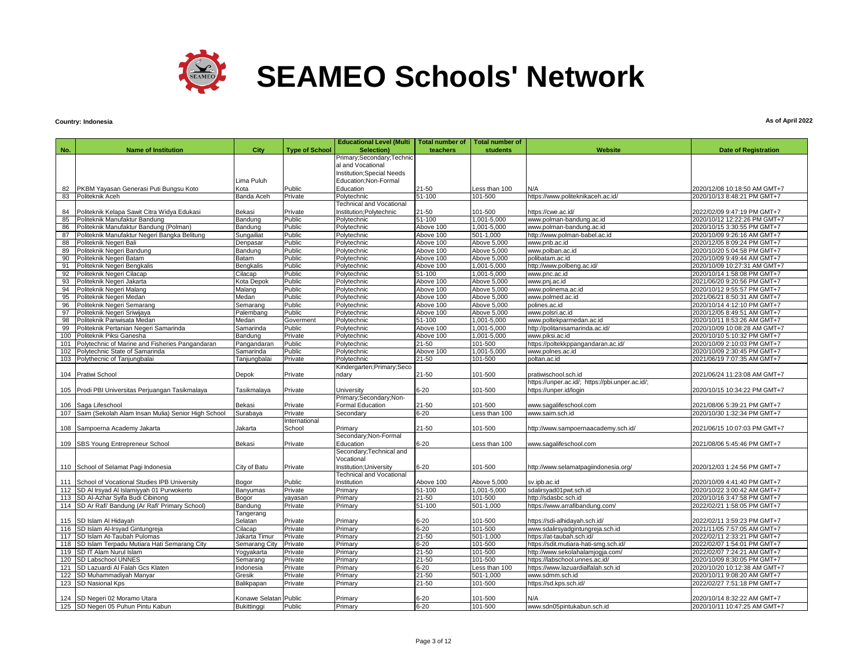

# **Country: Indonesia**

|     |                                                        |                       |                       | <b>Educational Level (Multi</b>                | Total number of | <b>Total number of</b> |                                                 |                              |
|-----|--------------------------------------------------------|-----------------------|-----------------------|------------------------------------------------|-----------------|------------------------|-------------------------------------------------|------------------------------|
| No. | <b>Name of Institution</b>                             | City                  | <b>Type of School</b> | Selection)                                     | teachers        | students               | Website                                         | <b>Date of Registration</b>  |
|     |                                                        |                       |                       | Primary;Secondary;Technic<br>al and Vocational |                 |                        |                                                 |                              |
|     |                                                        |                       |                       | Institution; Special Needs                     |                 |                        |                                                 |                              |
|     |                                                        | Lima Puluh            |                       | Education;Non-Formal                           |                 |                        |                                                 |                              |
| 82  | PKBM Yayasan Generasi Puti Bungsu Koto                 | Kota                  | Public                | Education                                      | 21-50           | Less than 100          | N/A                                             | 2020/12/08 10:18:50 AM GMT+7 |
| 83  | Politeknik Aceh                                        | Banda Aceh            | Private               | Polytechnic                                    | 51-100          | 101-500                | https://www.politeknikaceh.ac.id/               | 2020/10/13 8:48:21 PM GMT+7  |
|     |                                                        |                       |                       | <b>Technical and Vocational</b>                |                 |                        |                                                 |                              |
| 84  | Politeknik Kelapa Sawit Citra Widya Edukasi            | Bekasi                | Private               | Institution; Polytechnic                       | 21-50           | 101-500                | https://cwe.ac.id/                              | 2022/02/09 9:47:19 PM GMT+7  |
| 85  | Politeknik Manufaktur Bandung                          | Bandung               | Public                | Polytechnic                                    | 51-100          | 1,001-5,000            | www.polman-bandung.ac.id                        | 2020/10/12 12:22:26 PM GMT+7 |
| 86  | Politeknik Manufaktur Bandung (Polman)                 | Bandung               | Public                | Polytechnic                                    | Above 100       | 1,001-5,000            | www.polman-bandung.ac.id                        | 2020/10/15 3:30:55 PM GMT+7  |
| 87  | Politeknik Manufaktur Negeri Bangka Belitung           | Sungailiat            | Public                | Polytechnic                                    | Above 100       | 501-1.000              | http://www.polman-babel.ac.id                   | 2020/10/09 9:26:16 AM GMT+7  |
| 88  | Politeknik Negeri Bali                                 | Denpasar              | Public                | Polytechnic                                    | Above 100       | Above 5,000            | www.pnb.ac.id                                   | 2020/12/05 8:09:24 PM GMT+7  |
| 89  | Politeknik Negeri Bandung                              | Bandung               | Public                | Polytechnic                                    | Above 100       | Above 5,000            | www.polban.ac.id                                | 2020/10/20 5:04:58 PM GMT+7  |
| 90  | Politeknik Negeri Batam                                | Batam                 | Public                | Polytechnic                                    | Above 100       | Above 5,000            | polibatam.ac.id                                 | 2020/10/09 9:49:44 AM GMT+7  |
| 91  | Politeknik Negeri Bengkalis                            | Bengkalis             | Public                | Polytechnic                                    | Above 100       | 1,001-5,000            | http://www.polbeng.ac.id/                       | 2020/10/09 10:27:31 AM GMT+7 |
| 92  | Politeknik Negeri Cilacap                              | Cilacap               | Public                | Polytechnic                                    | 51-100          | 1,001-5,000            | www.pnc.ac.id                                   | 2020/10/14 1:58:08 PM GMT+7  |
| 93  | Politeknik Negeri Jakarta                              | Kota Depok            | Public                | Polytechnic                                    | Above 100       | Above 5,000            | www.pnj.ac.id                                   | 2021/06/20 9:20:56 PM GMT+7  |
| 94  | Politeknik Negeri Malang                               | Malang                | Public                | Polytechnic                                    | Above 100       | Above 5,000            | www.polinema.ac.id                              | 2020/10/12 9:55:57 PM GMT+7  |
| 95  | Politeknik Negeri Medan                                | Medan                 | Public                | Polytechnic                                    | Above 100       | Above 5,000            | www.polmed.ac.id                                | 2021/06/21 8:50:31 AM GMT+7  |
| 96  | Politeknik Negeri Semarang                             | Semarang              | Public                | Polytechnic                                    | Above 100       | Above 5,000            | polines.ac.id                                   | 2020/10/14 4:12:10 PM GMT+7  |
| 97  | Politeknik Negeri Sriwijaya                            | Palembang             | Public                | Polytechnic                                    | Above 100       | Above 5,000            | www.polsri.ac.id                                | 2020/12/05 8:49:51 AM GMT+7  |
| 98  | Politeknik Pariwisata Medan                            | Medan                 | Goverment             | Polytechnic                                    | 51-100          | 1,001-5,000            | www.poltekparmedan.ac.id                        | 2020/10/11 8:53:26 AM GMT+7  |
| 99  | Politeknik Pertanian Negeri Samarinda                  | Samarinda             | Public                | Polytechnic                                    | Above 100       | 1,001-5,000            | http://politanisamarinda.ac.id/                 | 2020/10/09 10:08:28 AM GMT+7 |
| 100 | Politeknik Piksi Ganesha                               | Bandung               | Private               | Polytechnic                                    | Above 100       | 1,001-5,000            | www.piksi.ac.id                                 | 2020/10/10 5:10:32 PM GMT+7  |
| 101 | Polytechnic of Marine and Fisheries Pangandaran        | Pangandaran           | Public                | Polytechnic                                    | $21 - 50$       | 101-500                | https://poltekkppangandaran.ac.id/              | 2020/10/09 2:10:03 PM GMT+7  |
|     | 102 Polytechnic State of Samarinda                     | Samarinda             | Public                | Polytechnic                                    | Above 100       | 1,001-5,000            | www.polnes.ac.id                                | 2020/10/09 2:30:45 PM GMT+7  |
| 103 | Polythecnic of Tanjungbalai                            | Tanjungbalai          | Private               | Polytechnic                                    | 21-50           | 101-500                | poltan.ac.id                                    | 2021/06/19 7:07:35 AM GMT+7  |
|     |                                                        |                       |                       | Kindergarten; Primary; Seco                    |                 |                        |                                                 |                              |
|     | 104 Pratiwi School                                     | Depok                 | Private               | ndary                                          | 21-50           | 101-500                | pratiwischool.sch.id                            | 2021/06/24 11:23:08 AM GMT+7 |
|     |                                                        |                       |                       |                                                |                 |                        | https://unper.ac.id/; https://pbi.unper.ac.id/; |                              |
|     | 105 Prodi PBI Universitas Perjuangan Tasikmalaya       | Tasikmalaya           | Private               | University                                     | 6-20            | 101-500                | https://unper.id/login                          | 2020/10/15 10:34:22 PM GMT+7 |
|     |                                                        |                       |                       | Primary;Secondary;Non-                         |                 |                        |                                                 |                              |
|     | 106 Saga Lifeschool                                    | Bekasi                | Private               | Formal Education                               | 21-50           | 101-500                | www.sagalifeschool.com                          | 2021/08/06 5:39:21 PM GMT+7  |
|     | 107 Saim (Sekolah Alam Insan Mulia) Senior High School | Surabaya              | Private               | Secondarv                                      | 6-20            | Less than 100          | www.saim.sch.id                                 | 2020/10/30 1:32:34 PM GMT+7  |
|     |                                                        |                       | International         |                                                |                 |                        |                                                 |                              |
|     | 108 Sampoerna Academy Jakarta                          | Jakarta               | School                | Primarv                                        | 21-50           | 101-500                | http://www.sampoernaacademy.sch.id/             | 2021/06/15 10:07:03 PM GMT+7 |
|     |                                                        |                       |                       | Secondary;Non-Formal                           |                 |                        |                                                 |                              |
|     | 109 SBS Young Entrepreneur School                      | Bekasi                | Private               | Education                                      | 6-20            | Less than 100          | www.sagalifeschool.com                          | 2021/08/06 5:45:46 PM GMT+7  |
|     |                                                        |                       |                       | Secondary; Technical and                       |                 |                        |                                                 |                              |
|     |                                                        |                       |                       | Vocational                                     |                 |                        |                                                 |                              |
|     | 110 School of Selamat Pagi Indonesia                   | City of Batu          | Private               | Institution; University                        | 6-20            | 101-500                | http://www.selamatpagiindonesia.org/            | 2020/12/03 1:24:56 PM GMT+7  |
|     |                                                        |                       |                       | <b>Technical and Vocational</b>                |                 |                        |                                                 |                              |
|     | 111 School of Vocational Studies IPB University        | Bogor                 | Public                | Institution                                    | Above 100       | Above 5,000            | sv.ipb.ac.id                                    | 2020/10/09 4:41:40 PM GMT+7  |
|     | 112 SD AI Irsyad AI Islamiyyah 01 Purwokerto           | Banyumas              | Private               | Primary                                        | 51-100          | 1,001-5,000            | sdalirsyad01pwt.sch.id                          | 2020/10/22 3:00:42 AM GMT+7  |
|     | 113 SD Al-Azhar Syifa Budi Cibinong                    | Bogor                 | yayasan               | Primary                                        | 21-50           | 101-500                | http://sdasbc.sch.id                            | 2020/10/16 3:47:58 PM GMT+7  |
|     | 114 SD Ar Rafi' Bandung (Ar Rafi' Primary School)      | Bandung               | Private               | Primary                                        | 51-100          | 501-1,000              | https://www.arrafibandung.com/                  | 2022/02/21 1:58:05 PM GMT+7  |
|     |                                                        | Tangerang             |                       |                                                |                 |                        |                                                 |                              |
|     | 115 SD Islam Al Hidayah                                | Selatan               | Private               | Primary                                        | 6-20            | 101-500                | https://sdi-alhidayah.sch.id/                   | 2022/02/11 3:59:23 PM GMT+7  |
|     | 116 SD Islam Al-Irsyad Gintungreja                     | Cilacap               | Private               | Primary                                        | $6 - 20$        | 101-500                | www.sdalirsyadgintungreja.sch.id                | 2021/11/05 7:57:05 AM GMT+7  |
|     | 117 SD Islam At-Taubah Pulomas                         | Jakarta Timur         | Private               | Primary                                        | 21-50           | 501-1,000              | https://at-taubah.sch.id/                       | 2022/02/11 2:33:21 PM GMT+7  |
|     | 118 SD Islam Terpadu Mutiara Hati Semarang City        | Semarang City         | Private               | Primary                                        | $6 - 20$        | 101-500                | https://sdit.mutiara-hati-smg.sch.id/           | 2022/02/07 1:54:01 PM GMT+7  |
|     | 119 SD IT Alam Nurul Islam                             | Yogyakarta            | Private               | Primary                                        | 21-50           | 101-500                | http://www.sekolahalamjogja.com/                | 2022/02/07 7:24:21 AM GMT+7  |
|     | 120 SD Labschool UNNES                                 | Semarang              | Private               | Primary                                        | 21-50           | 101-500                | https://labschool.unnes.ac.id/                  | 2020/10/09 8:30:05 PM GMT+7  |
|     | 121 SD Lazuardi Al Falah Gcs Klaten                    | Indonesia             | Private               | Primary                                        | $6 - 20$        | Less than 100          | https://www.lazuardialfalah.sch.id              | 2020/10/20 10:12:38 AM GMT+7 |
|     | 122 SD Muhammadiyah Manyar                             | Gresik                | Private               | Primary                                        | 21-50           | 501-1,000              | www.sdmm.sch.id                                 | 2020/10/11 9:08:20 AM GMT+7  |
|     | 123 SD Nasional Kps                                    | Balikpapan            | Private               | Primary                                        | 21-50           | 101-500                | https://sd.kps.sch.id/                          | 2022/02/27 7:51:18 PM GMT+7  |
|     |                                                        |                       |                       |                                                |                 |                        |                                                 |                              |
|     | 124 SD Negeri 02 Moramo Utara                          | Konawe Selatan Public |                       | Primary                                        | 6-20            | 101-500                | N/A                                             | 2020/10/14 8:32:22 AM GMT+7  |
|     | 125 SD Negeri 05 Puhun Pintu Kabun                     | Bukittinggi           | Public                | Primary                                        | $6 - 20$        | 101-500                | www.sdn05pintukabun.sch.id                      | 2020/10/11 10:47:25 AM GMT+7 |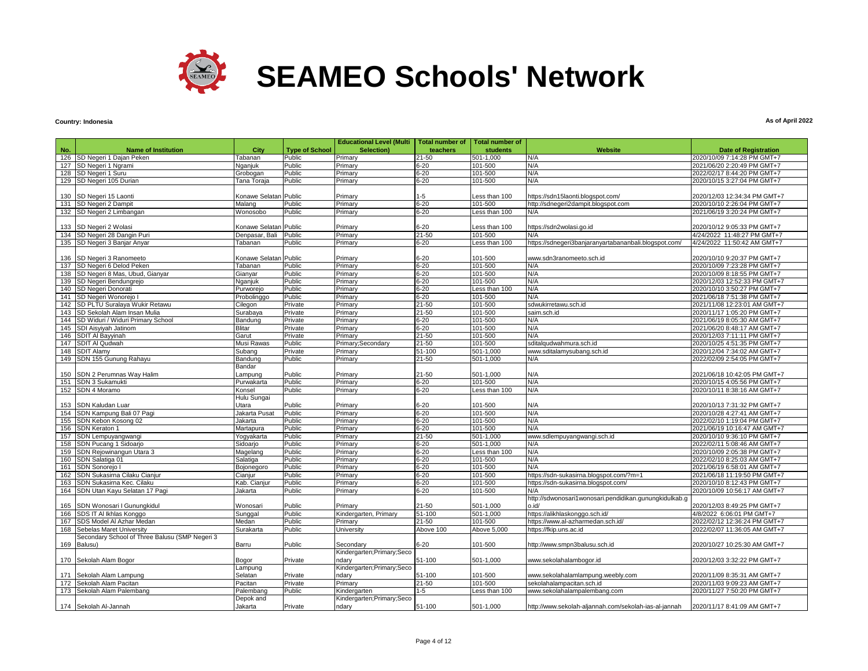

#### **Country: Indonesia**

|     |                                                |                              |                       | <b>Educational Level (Multi</b> | <b>Total number of</b> | <b>Total number of</b> |                                                        |                              |
|-----|------------------------------------------------|------------------------------|-----------------------|---------------------------------|------------------------|------------------------|--------------------------------------------------------|------------------------------|
| No. | <b>Name of Institution</b>                     | City                         | <b>Type of School</b> | Selection)                      | teachers               | <b>students</b>        | <b>Website</b>                                         | <b>Date of Registration</b>  |
| 126 | SD Negeri 1 Dajan Peken                        | Tabanan                      | Public                | Primary                         | $21 - 50$              | 501-1.000              | N/A                                                    | 2020/10/09 7:14:28 PM GMT+7  |
| 127 | SD Negeri 1 Ngrami                             | Naaniuk                      | Public                | Primary                         | $6 - 20$               | 101-500                | N/A                                                    | 2021/06/20 2:20:49 PM GMT+7  |
| 128 | SD Negeri 1 Suru                               | Grobogan                     | Public                | Primary                         | $6 - 20$               | 101-500                | N/A                                                    | 2022/02/17 8:44:20 PM GMT+7  |
|     | 129 SD Negeri 105 Durian                       | Tana Toraia                  | Public                | Primarv                         | $6 - 20$               | 101-500                | N/A                                                    | 2020/10/15 3:27:04 PM GMT+7  |
|     |                                                |                              |                       |                                 |                        |                        |                                                        |                              |
|     |                                                |                              |                       |                                 |                        |                        |                                                        |                              |
| 130 | SD Negeri 15 Laonti                            | Konawe Selatar               | Public                | Primary                         | $1 - 5$                | Less than 100          | https://sdn15laonti.blogspot.com/                      | 2020/12/03 12:34:34 PM GMT+7 |
| 131 | SD Negeri 2 Dampit                             | Malang                       | Public                | Primary                         | $6 - 20$               | 101-500                | http://sdnegeri2dampit.blogspot.com                    | 2020/10/10 2:26:04 PM GMT+7  |
| 132 | SD Negeri 2 Limbangan                          | Nonosobo                     | Public                | Primary                         | $6 - 20$               | Less than 100          | N/A                                                    | 2021/06/19 3:20:24 PM GMT+7  |
|     |                                                |                              |                       |                                 |                        |                        |                                                        |                              |
| 133 | SD Negeri 2 Wolasi                             | Konawe Selatan Public        |                       | Primary                         | 6-20                   | Less than 100          | https://sdn2wolasi.go.id                               | 2020/10/12 9:05:33 PM GMT+7  |
| 134 | SD Negeri 28 Dangin Puri                       | Denpasar, Bali               | Public                | Primary                         | $21 - 50$              | 101-500                | N/A                                                    | 4/24/2022 11:48:27 PM GMT+7  |
| 135 | SD Negeri 3 Banjar Anyar                       | Tabanan                      | Public                | Primarv                         | $6 - 20$               | Less than 100          | https://sdnegeri3banjaranyartabananbali.blogspot.com/  | 4/24/2022 11:50:42 AM GMT+7  |
|     |                                                |                              |                       |                                 |                        |                        |                                                        |                              |
| 136 | SD Negeri 3 Ranomeeto                          | <b>Konawe Selatan Public</b> |                       | Primary                         | $6 - 20$               | 101-500                | www.sdn3ranomeeto.sch.id                               | 2020/10/10 9:20:37 PM GMT+7  |
| 137 | SD Negeri 6 Delod Peken                        | <b>Tabanan</b>               | Public                | Primary                         | $6 - 20$               | 101-500                | N/A                                                    | 2020/10/09 7:23:28 PM GMT+7  |
| 138 | SD Negeri 8 Mas, Ubud, Gianyar                 | Gianyar                      | Public                | Primary                         | $6 - 20$               | 101-500                | N/A                                                    | 2020/10/09 8:18:55 PM GMT+7  |
| 139 | SD Negeri Bendungrejo                          | Vganjuk                      | Public                | Primary                         | $6 - 20$               | 101-500                | N/A                                                    | 2020/12/03 12:52:33 PM GMT+7 |
| 140 | SD Negeri Donorati                             | Purworejo                    | Public                | Primary                         | $6 - 20$               | Less than 100          | N/A                                                    | 2020/10/10 3:50:27 PM GMT+7  |
| 141 | SD Negeri Wonorejo I                           | Probolinggo                  | Public                | Primary                         | $6 - 20$               | 101-500                | N/A                                                    | 2021/06/18 7:51:38 PM GMT+7  |
| 142 | SD PLTU Suralaya Wukir Retawu                  | Cilegon                      | Private               | Priman                          | $21 - 50$              | 101-500                | sdwukirretawu.sch.id                                   | 2021/11/08 12:23:01 AM GMT+7 |
| 143 | SD Sekolah Alam Insan Mulia                    | Surabaya                     | Private               | Primary                         | $21 - 50$              | 101-500                | saim.sch.id                                            | 2020/11/17 1:05:20 PM GMT+7  |
| 144 | SD Widuri / Widuri Primary School              | Bandung                      | Private               | Primary                         | $6 - 20$               | 101-500                | N/A                                                    | 2021/06/19 8:05:30 AM GMT+7  |
| 145 | SDI Aisyiyah Jatinom                           | <b>Blitar</b>                | Private               | Primary                         | $6 - 20$               | 101-500                | N/A                                                    | 2021/06/20 8:48:17 AM GMT+7  |
| 146 | SDIT AI Bayyinah                               | Garut                        | Private               | Primary                         | $21 - 50$              | 101-500                | N/A                                                    | 2020/12/03 7:11:11 PM GMT+7  |
| 147 | <b>SDIT AI Qudwah</b>                          | Musi Rawas                   | Public                | Primary;Secondary               | 21-50                  | 101-500                | sditalqudwahmura.sch.id                                | 2020/10/25 4:51:35 PM GMT+7  |
| 148 | <b>SDIT Alamy</b>                              | Subang                       | Private               | Primary                         | 51-100                 | 501-1.000              | www.sditalamysubang.sch.id                             | 2020/12/04 7:34:02 AM GMT+7  |
| 149 | SDN 155 Gunung Rahayu                          | Bandung                      | Public                | Primary                         | 21-50                  | 501-1.000              | N/A                                                    | 2022/02/09 2:54:05 PM GMT+7  |
|     |                                                | Bandar                       |                       |                                 |                        |                        |                                                        |                              |
| 150 | SDN 2 Perumnas Way Halim                       | ampung                       | Public                | Primary                         | 21-50                  | 501-1,000              | N/A                                                    | 2021/06/18 10:42:05 PM GMT+7 |
| 151 | <b>SDN 3 Sukamukti</b>                         | Purwakarta                   | Public                | Primary                         | $6 - 20$               | 101-500                | N/A                                                    | 2020/10/15 4:05:56 PM GMT+7  |
|     | 152 SDN 4 Moramo                               | <b>Consel</b>                | Public                | Primary                         | $6 - 20$               | Less than 100          | N/A                                                    | 2020/10/11 8:38:16 AM GMT+7  |
|     |                                                | Hulu Sungai                  |                       |                                 |                        |                        |                                                        |                              |
| 153 | SDN Kaludan Luar                               | Utara                        | Public                | Primary                         | $6 - 20$               | 101-500                | N/A                                                    | 2020/10/13 7:31:32 PM GMT+7  |
| 154 | SDN Kampung Bali 07 Pagi                       | Jakarta Pusat                | Public                | Primary                         | $6 - 20$               | 101-500                | N/A                                                    | 2020/10/28 4:27:41 AM GMT+7  |
| 155 | SDN Kebon Kosong 02                            | Jakarta                      | Public                | Primary                         | $6 - 20$               | 101-500                | N/A                                                    | 2022/02/10 1:19:04 PM GMT+7  |
|     |                                                |                              |                       |                                 | $6 - 20$               |                        | N/A                                                    |                              |
| 156 | SDN Keraton 1                                  | Martapura                    | Public                | Primary                         |                        | 101-500                |                                                        | 2021/06/19 10:16:47 AM GMT+7 |
| 157 | SDN Lempuyangwangi                             | Yoqyakarta                   | Public                | Primary                         | 21-50                  | 501-1,000              | www.sdlempuyangwangi.sch.id                            | 2020/10/10 9:36:10 PM GMT+7  |
| 158 | SDN Pucang 1 Sidoarjo                          | Sidoarjo                     | Public                | Primary                         | $6 - 20$               | 501-1.000              | N/A                                                    | 2022/02/11 5:08:46 AM GMT+7  |
| 159 | SDN Rejowinangun Utara 3                       | Magelang                     | Public                | Primary                         | $6 - 20$               | Less than 100          | N/A                                                    | 2020/10/09 2:05:38 PM GMT+7  |
| 160 | SDN Salatiga 01                                | Salatiga                     | Public                | Primary                         | $6 - 20$               | 101-500                | N/A                                                    | 2022/02/10 8:25:03 AM GMT+7  |
| 161 | <b>SDN Sonorejo I</b>                          | Bojonegoro                   | Public                | Primary                         | $6 - 20$               | 101-500                | N/A                                                    | 2021/06/19 6:58:01 AM GMT+7  |
| 162 | <b>SDN Sukasirna Cilaku Cianjur</b>            | Cianjur                      | Public                | Primary                         | $6 - 20$               | 101-500                | https://sdn-sukasirna.blogspot.com/?m=1                | 2021/06/18 11:19:50 PM GMT+7 |
| 163 | <b>SDN Sukasirna Kec. Cilaku</b>               | Kab. Cianjur                 | Public                | Primary                         | $6 - 20$               | 101-500                | https://sdn-sukasirna.blogspot.com/                    | 2020/10/10 8:12:43 PM GMT+7  |
| 164 | SDN Utan Kayu Selatan 17 Pagi                  | Jakarta                      | Public                | Primary                         | $6 - 20$               | 101-500                | N/A                                                    | 2020/10/09 10:56:17 AM GMT+7 |
|     |                                                |                              |                       |                                 |                        |                        | http://sdwonosari1wonosari.pendidikan.gunungkidulkab.g |                              |
| 165 | SDN Wonosari I Gunungkidul                     | Wonosari                     | Public                | Primary                         | 21-50                  | 501-1,000              | o.id/                                                  | 2020/12/03 8:49:25 PM GMT+7  |
| 166 | SDS IT AI Ikhlas Konggo                        | Sunggal                      | Public                | Kindergarten, Primary           | 51-100                 | 501-1,000              | https://alikhlaskonggo.sch.id/                         | 4/8/2022 6:06:01 PM GMT+7    |
| 167 | SDS Model Al Azhar Medan                       | Medan                        | Public                | Primary                         | $21 - 50$              | 101-500                | https://www.al-azharmedan.sch.id/                      | 2022/02/12 12:36:24 PM GMT+7 |
| 168 | Sebelas Maret University                       | Surakarta                    | Public                | University                      | Above 100              | Above 5,000            | https://fkip.uns.ac.id                                 | 2022/02/07 11:36:05 AM GMT+7 |
|     | Secondary School of Three Balusu (SMP Negeri 3 |                              |                       |                                 |                        |                        |                                                        |                              |
| 169 | Balusu)                                        | Barru                        | Public                | Secondary                       | $6 - 20$               | 101-500                | http://www.smpn3balusu.sch.id                          | 2020/10/27 10:25:30 AM GMT+7 |
|     |                                                |                              |                       | Kindergarten;Primary;Seco       |                        |                        |                                                        |                              |
|     | 170 Sekolah Alam Bogor                         | Bogor                        | Private               | ndary                           | 51-100                 | 501-1,000              | www.sekolahalambogor.id                                | 2020/12/03 3:32:22 PM GMT+7  |
|     |                                                | Lampung                      |                       | Kindergarten; Primary; Seco     |                        |                        |                                                        |                              |
| 171 | Sekolah Alam Lampung                           | Selatan                      | Private               | ndary                           | 51-100                 | 101-500                | www.sekolahalamlampung.weebly.com                      | 2020/11/09 8:35:31 AM GMT+7  |
| 172 | Sekolah Alam Pacitan                           | Pacitan                      | Private               | Primary                         | $21 - 50$              | 101-500                | sekolahalampacitan.sch.id                              | 2020/11/03 9:09:23 AM GMT+7  |
| 173 | Sekolah Alam Palembang                         | Palembang                    | Public                | <b>Kindergarten</b>             | $1 - 5$                | Less than 100          | www.sekolahalampalembang.com                           | 2020/11/27 7:50:20 PM GMT+7  |
|     |                                                | Depok and                    |                       | Kindergarten;Primary;Seco       |                        |                        |                                                        |                              |
|     | 174 Sekolah Al-Jannah                          | Jakarta                      | Private               | ndary                           | 51-100                 | 501-1,000              | http://www.sekolah-aljannah.com/sekolah-ias-al-jannah  | 2020/11/17 8:41:09 AM GMT+7  |
|     |                                                |                              |                       |                                 |                        |                        |                                                        |                              |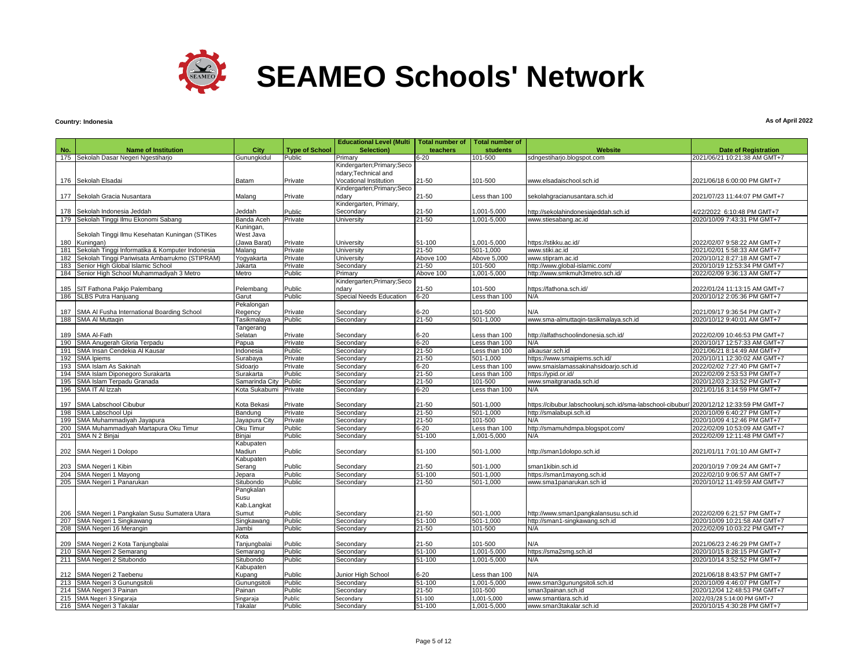

## **Country: Indonesia**

|     |                                                 |                |                       | <b>Educational Level (Multi</b> | <b>Total number of</b> | <b>Total number of</b> |                                                            |                              |
|-----|-------------------------------------------------|----------------|-----------------------|---------------------------------|------------------------|------------------------|------------------------------------------------------------|------------------------------|
| No. | <b>Name of Institution</b>                      | City           | <b>Type of School</b> | Selection)                      | teachers               | students               | <b>Website</b>                                             | <b>Date of Registration</b>  |
|     | 175 Sekolah Dasar Negeri Ngestiharjo            | Gunungkidul    | Public                | Primary                         | $6 - 20$               | 101-500                | sdngestiharjo.blogspot.com                                 | 2021/06/21 10:21:38 AM GMT+7 |
|     |                                                 |                |                       | Kindergarten; Primary; Seco     |                        |                        |                                                            |                              |
|     |                                                 |                |                       | ndary; Technical and            |                        |                        |                                                            |                              |
|     | 176 Sekolah Elsadai                             | Batam          | Private               | Vocational Institution          | 21-50                  | 101-500                | www.elsadaischool.sch.id                                   | 2021/06/18 6:00:00 PM GMT+7  |
|     |                                                 |                |                       | Kindergarten; Primary; Seco     |                        |                        |                                                            |                              |
|     | 177 Sekolah Gracia Nusantara                    | Malang         | Private               | ndary                           | 21-50                  | Less than 100          | sekolahgracianusantara.sch.id                              | 2021/07/23 11:44:07 PM GMT+7 |
|     |                                                 |                |                       | Kindergarten, Primary,          |                        |                        |                                                            |                              |
| 178 | Sekolah Indonesia Jeddah                        | Jeddah         | Public                | Secondary                       | 21-50                  | 001-5,000,             | http://sekolahindonesiajeddah.sch.id                       | 4/22/2022 6:10:48 PM GMT+7   |
|     | 179 Sekolah Tinggi Ilmu Ekonomi Sabang          | Banda Aceh     | Private               | University                      | 21-50                  | 001-5.000              | www.stiesabang.ac.id                                       | 2020/10/09 7:43:31 PM GMT+7  |
|     |                                                 | Kuningan,      |                       |                                 |                        |                        |                                                            |                              |
|     | Sekolah Tinggi Ilmu Kesehatan Kuningan (STIKes  | West Java      |                       |                                 |                        |                        |                                                            |                              |
|     | 180 Kuningan)                                   | (Jawa Barat)   | Private               | University                      | 51-100                 | ,001-5,000             | https://stikku.ac.id/                                      | 2022/02/07 9:58:22 AM GMT+7  |
| 181 | Sekolah Tinggi Informatika & Komputer Indonesia | Malang         | Private               | University                      | $21 - 50$              | 501-1.000              | www.stiki.ac.id                                            | 2021/02/01 5:58:33 AM GMT+7  |
| 182 | Sekolah Tinggi Pariwisata Ambarrukmo (STIPRAM)  | Yogyakarta     | Private               | University                      | Above 100              | Above 5,000            | www.stipram.ac.id                                          | 2020/10/12 8:27:18 AM GMT+7  |
| 183 | Senior High Global Islamic School               | Jakarta        | Private               | Secondary                       | 21-50                  | 101-500                | http://www.qlobal-islamic.com/                             | 2020/10/19 12:53:34 PM GMT+7 |
| 184 | Senior High School Muhammadiyah 3 Metro         | Metro          | Public                | Primary                         | Above 100              | 001-5,000              | http://www.smkmuh3metro.sch.id/                            | 2022/02/09 9:36:13 AM GMT+7  |
|     |                                                 |                |                       | Kindergarten; Primary; Seco     |                        |                        |                                                            |                              |
| 185 | SIT Fathona Pakjo Palembang                     | Pelembang      | Public                | ndary                           | 21-50                  | 101-500                | https://fathona.sch.id/                                    | 2022/01/24 11:13:15 AM GMT+7 |
| 186 | SLBS Putra Hanjuang                             | Garut          | Public                | Special Needs Education         | $6 - 20$               | ess than 100           | N/A                                                        | 2020/10/12 2:05:36 PM GMT+7  |
|     |                                                 | Pekalongan     |                       |                                 |                        |                        |                                                            |                              |
|     | 187 SMA Al Fusha International Boarding School  | Regency        | Private               | Secondary                       | $6 - 20$               | 101-500                | N/A                                                        | 2021/09/17 9:36:54 PM GMT+7  |
|     | 188 SMA Al Muttagin                             | Tasikmalaya    | Public                | Secondary                       | $21 - 50$              | 501-1,000              | www.sma-almuttagin-tasikmalaya.sch.id                      | 2020/10/12 9:40:01 AM GMT+7  |
|     |                                                 | Tangerang      |                       |                                 |                        |                        |                                                            |                              |
|     | 189 SMA Al-Fath                                 | Selatan        | Private               | Secondary                       | $6 - 20$               | Less than 100          | http://alfathschoolindonesia.sch.id/                       | 2022/02/09 10:46:53 PM GMT+7 |
|     | 190 SMA Anugerah Gloria Terpadu                 | Papua          | Private               | Secondary                       | $6 - 20$               | Less than 100          | N/A                                                        | 2020/10/17 12:57:33 AM GMT+7 |
| 191 | SMA Insan Cendekia Al Kausar                    | Indonesia      | Public                | Secondary                       | $21 - 50$              | Less than 100          | alkausar.sch.id                                            | 2021/06/21 8:14:49 AM GMT+7  |
| 192 | <b>SMA Ipiems</b>                               | Surabaya       | Private               | Secondary                       | $21 - 50$              | 501-1,000              | https://www.smaipiems.sch.id/                              | 2020/10/11 12:30:02 AM GMT+7 |
|     | 193 SMA Islam As Sakinah                        | Sidoarjo       | Private               | Secondary                       | $6 - 20$               | Less than 100          | www.smaislamassakinahsidoarjo.sch.id                       | 2022/02/02 7:27:40 PM GMT+7  |
|     | 194 SMA Islam Diponegoro Surakarta              | Surakarta      | Public                | Secondary                       | $21 - 50$              | Less than 100          | https://ypid.or.id/                                        | 2022/02/09 2:53:53 PM GMT+7  |
|     | 195 SMA Islam Terpadu Granada                   | Samarinda City | Public                | Secondary                       | 21-50                  | 101-500                | www.smaitgranada.sch.id                                    | 2020/12/03 2:33:52 PM GMT+7  |
|     | 196 SMA IT AI Izzah                             | Kota Sukabumi  | Private               | Secondary                       | $6 - 20$               | Less than 100          | N/A                                                        | 2021/01/16 3:14:59 PM GMT+7  |
|     |                                                 |                |                       |                                 |                        |                        |                                                            |                              |
|     | 197 SMA Labschool Cibubur                       | Kota Bekasi    | Private               | Secondary                       | 21-50                  | 501-1,000              | https://cibubur.labschoolunj.sch.id/sma-labschool-cibubur/ | 2020/12/12 12:33:59 PM GMT+7 |
| 198 | SMA Labschool Upi                               | Bandung        | Private               | Secondary                       | $21 - 50$              | 501-1,000              | http://smalabupi.sch.id                                    | 2020/10/09 6:40:27 PM GMT+7  |
|     | 199 SMA Muhammadiyah Jayapura                   | Jayapura City  | Private               | Secondary                       | 21-50                  | 101-500                | N/A                                                        | 2020/10/09 4:12:46 PM GMT+7  |
|     | 200 SMA Muhammadiyah Martapura Oku Timur        | Oku Timur      | Public                | Secondary                       | $6 - 20$               | Less than 100          | http://smamuhdmpa.blogspot.com/                            | 2022/02/09 10:53:09 AM GMT+7 |
|     | 201 SMA N 2 Binjai                              | Binjai         | Public                | Secondary                       | 51-100                 | 1,001-5,000            | N/A                                                        | 2022/02/09 12:11:48 PM GMT+7 |
|     |                                                 | Kabupaten      |                       |                                 |                        |                        |                                                            |                              |
|     | 202 SMA Negeri 1 Dolopo                         | Madiun         | Public                | Secondary                       | 51-100                 | 501-1,000              | http://sman1dolopo.sch.id                                  | 2021/01/11 7:01:10 AM GMT+7  |
|     |                                                 | Kabupaten      |                       |                                 |                        |                        |                                                            |                              |
|     | 203 SMA Negeri 1 Kibin                          | Serang         | Public                | Secondary                       | 21-50                  | 501-1,000              | sman1kibin.sch.id                                          | 2020/10/19 7:09:24 AM GMT+7  |
|     | 204 SMA Negeri 1 Mayong                         | Jepara         | Public                | Secondary                       | 51-100                 | 501-1,000              | https://sman1mayong.sch.id                                 | 2022/02/10 9:06:57 AM GMT+7  |
|     | 205 SMA Negeri 1 Panarukan                      | Situbondo      | Public                | Secondary                       | 21-50                  | 501-1,000              | www.sma1panarukan.sch id                                   | 2020/10/12 11:49:59 AM GMT+7 |
|     |                                                 | Pangkalan      |                       |                                 |                        |                        |                                                            |                              |
|     |                                                 | Susu           |                       |                                 |                        |                        |                                                            |                              |
|     |                                                 | Kab.Langkat    |                       |                                 |                        |                        |                                                            |                              |
|     | 206 SMA Negeri 1 Pangkalan Susu Sumatera Utara  | Sumut          | Public                | Secondary                       | 21-50                  | 501-1,000              | http://www.sman1pangkalansusu.sch.id                       | 2022/02/09 6:21:57 PM GMT+7  |
|     | 207 SMA Negeri 1 Singkawang                     | Singkawang     | Public                | Secondary                       | 51-100                 | 501-1,000              | http://sman1-singkawang.sch.id                             | 2020/10/09 10:21:58 AM GMT+7 |
|     | 208 SMA Negeri 16 Merangin                      | Jambi          | Public                | Secondary                       | $21 - 50$              | 101-500                | N/A                                                        | 2022/02/09 10:03:22 PM GMT+7 |
|     |                                                 | Kota           |                       |                                 |                        |                        |                                                            |                              |
| 209 | SMA Negeri 2 Kota Tanjungbalai                  | Tanjungbalai   | Public                | Secondary                       | $21 - 50$              | 101-500                | N/A                                                        | 2021/06/23 2:46:29 PM GMT+7  |
|     | 210 SMA Negeri 2 Semarang                       | Semarang       | Public                | Secondary                       | 51-100                 | 000,5-100,1            | https://sma2smg.sch.id                                     | 2020/10/15 8:28:15 PM GMT+7  |
| 211 | SMA Negeri 2 Situbondo                          | Situbondo      | Public                | Secondary                       | 51-100                 | $1,001 - 5,000$        | N/A                                                        | 2020/10/14 3:52:52 PM GMT+7  |
|     |                                                 | Kabupaten      |                       |                                 |                        |                        |                                                            |                              |
|     | 212 SMA Negeri 2 Taebenu                        | Kupang         | Public                | Junior High School              | 6-20                   | ess than 100           | N/A                                                        | 2021/06/18 8:43:57 PM GMT+7  |
| 213 | SMA Negeri 3 Gunungsitoli                       | Gunungsitoli   | Public                | Secondary                       | 51-100                 | 1,001-5,000            | www.sman3qunungsitoli.sch.id                               | 2020/10/09 4:46:07 PM GMT+7  |
|     | 214 SMA Negeri 3 Painan                         | Painan         | Public                | Secondary                       | 21-50                  | 101-500                | sman3painan.sch.id                                         | 2020/12/04 12:48:53 PM GMT+7 |
|     | 215 SMA Negeri 3 Singaraja                      | Singaraja      | Public                | Secondary                       | 51-100                 | ,001-5,000             | www.smantiara.sch.id                                       | 2022/03/28 5:14:00 PM GMT+7  |
|     | 216 SMA Negeri 3 Takalar                        | Takalar        | Public                | Secondary                       | 51-100                 | 1,001-5,000            | www.sman3takalar.sch.id                                    | 2020/10/15 4:30:28 PM GMT+7  |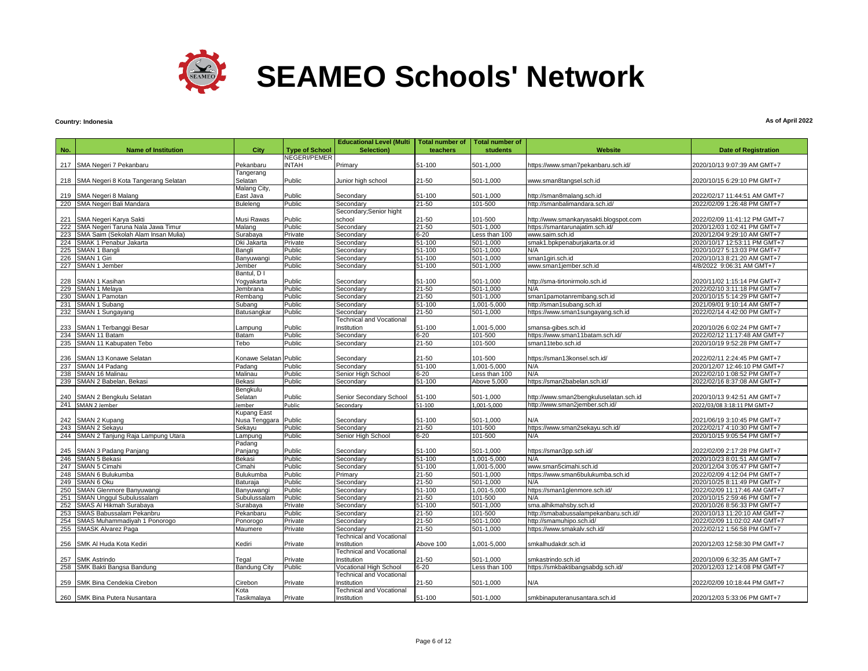

### **Country: Indonesia**

|            |                                         |                       |                       | <b>Educational Level (Multi</b>                | <b>Total number of</b> | <b>Total number of</b>  |                                        |                              |
|------------|-----------------------------------------|-----------------------|-----------------------|------------------------------------------------|------------------------|-------------------------|----------------------------------------|------------------------------|
| No.        | <b>Name of Institution</b>              | City                  | <b>Type of School</b> | Selection)                                     | teachers               | <b>students</b>         | <b>Website</b>                         | <b>Date of Registration</b>  |
|            |                                         |                       | NEGERI/PEMER          |                                                |                        |                         |                                        |                              |
|            | 217 SMA Negeri 7 Pekanbaru              | Pekanbaru             | <b>INTAH</b>          | Primary                                        | 51-100                 | 501-1,000               | https://www.sman7pekanbaru.sch.id/     | 2020/10/13 9:07:39 AM GMT+7  |
|            |                                         | Tangerang             |                       |                                                |                        |                         |                                        |                              |
|            | 218 SMA Negeri 8 Kota Tangerang Selatan | Selatan               | Public                | Junior high school                             | $21 - 50$              | 501-1,000               | www.sman8tangsel.sch.id                | 2020/10/15 6:29:10 PM GMT+7  |
|            |                                         | Malang City,          |                       |                                                |                        |                         |                                        |                              |
| 219        | SMA Negeri 8 Malang                     | East Java             | Public                | Secondary                                      | 51-100                 | 501-1,000               | http://sman8malang.sch.id              | 2022/02/17 11:44:51 AM GMT+7 |
| 220        | SMA Negeri Bali Mandara                 | Buleleng              | Public                | Secondary                                      | $21 - 50$              | 101-500                 | http://smanbalimandara.sch.id/         | 2022/02/09 1:26:48 PM GMT+7  |
| 221        | SMA Negeri Karya Sakti                  | Musi Rawas            | Public                | Secondary; Senior hight<br>school              | 21-50                  | 101-500                 | http://www.smankaryasakti.blogspot.com | 2022/02/09 11:41:12 PM GMT+7 |
| 222        | SMA Negeri Taruna Nala Jawa Timur       | Malang                | Public                | Secondarv                                      | $21 - 50$              | 501-1.000               | https://smantarunajatim.sch.id/        | 2020/12/03 1:02:41 PM GMT+7  |
| 223        | SMA Saim (Sekolah Alam Insan Mulia)     | Surabaya              | Private               | Secondary                                      | $6 - 20$               | Less than 100           | www.saim.sch.id                        | 2020/12/04 9:29:10 AM GMT+7  |
| 224        | SMAK 1 Penabur Jakarta                  | Dki Jakarta           | Private               | Secondary                                      | $51 - 100$             | 501-1.000               | smak1.bpkpenaburjakarta.or.id          | 2020/10/17 12:53:11 PM GMT+7 |
| 225        | SMAN 1 Bangli                           | Bangli                | Public                | Secondarv                                      | 51-100                 | 501-1.000               | N/A                                    | 2020/10/27 5:13:03 PM GMT+7  |
| 226        | <b>SMAN 1 Giri</b>                      | Banyuwangi            | Public                | Secondary                                      | $51 - 100$             | $501 - 1,000$           | sman1giri.sch.id                       | 2020/10/13 8:21:20 AM GMT+7  |
| 227        | SMAN 1 Jember                           | Jember                | Public                | Secondary                                      | 51-100                 | 501-1,000               | www.sman1jember.sch.id                 | 4/8/2022 9:06:31 AM GMT+7    |
|            |                                         | Bantul, D I           |                       |                                                |                        |                         |                                        |                              |
| 228        | SMAN 1 Kasihan                          | Yoqyakarta            | Public                | Secondary                                      | 51-100                 | 501-1,000               | http://sma-tirtonirmolo.sch.id         | 2020/11/02 1:15:14 PM GMT+7  |
| 229        | SMAN 1 Melaya                           | Jembrana              | Public                | Secondary                                      | $21 - 50$              | 501-1,000               | N/A                                    | 2022/02/10 3:11:18 PM GMT+7  |
| 230        | SMAN 1 Pamotan                          | Rembang               | Public                | Secondary                                      | $21 - 50$              | 501-1,000               | sman1pamotanrembang.sch.id             | 2020/10/15 5:14:29 PM GMT+7  |
| 231        | SMAN 1 Subang                           | Subang                | Public                | Secondary                                      | 51-100                 | 1,001-5,000             | http://sman1subang.sch.id              | 2021/09/01 9:10:14 AM GMT+7  |
| 232        | SMAN 1 Sungayang                        | Batusangkar           | Public                | Secondary                                      | 21-50                  | 501-1,000               | https://www.sman1sungayang.sch.id      | 2022/02/14 4:42:00 PM GMT+7  |
|            |                                         |                       |                       | <b>Technical and Vocational</b>                |                        |                         |                                        |                              |
| 233        | SMAN 1 Terbanggi Besar                  | .ampung               | Public                | Institution                                    | 51-100                 | 1,001-5,000             | smansa-gibes.sch.id                    | 2020/10/26 6:02:24 PM GMT+7  |
| 234        | SMAN 11 Batam                           | Batam                 | Public                | Secondary                                      | $6 - 20$               | 101-500                 | https://www.sman11batam.sch.id/        | 2022/02/12 11:17:48 AM GMT+7 |
| 235        | SMAN 11 Kabupaten Tebo                  | Tebo                  | Public                | Secondary                                      | $21 - 50$              | 101-500                 | sman11tebo.sch.id                      | 2020/10/19 9:52:28 PM GMT+7  |
|            |                                         |                       |                       |                                                |                        |                         |                                        |                              |
| 236        | SMAN 13 Konawe Selatan                  | Konawe Selatan Public |                       | Secondary                                      | $21 - 50$              | 101-500                 | https://sman13konsel.sch.id/           | 2022/02/11 2:24:45 PM GMT+7  |
| 237        | SMAN 14 Padang                          | Padang                | Public                | Secondary                                      | $51 - 100$             | 1,001-5,000             | N/A                                    | 2020/12/07 12:46:10 PM GMT+7 |
| 238<br>239 | SMAN 16 Malinau                         | Malinau               | Public                | Senior High School                             | $6 - 20$               | Less than 100           | N/A                                    | 2022/02/10 1:08:52 PM GMT+7  |
|            | SMAN 2 Babelan, Bekasi                  | Bekasi<br>Bengkulu    | Public                | Secondary                                      | 51-100                 | Above 5,000             | https://sman2babelan.sch.id/           | 2022/02/16 8:37:08 AM GMT+7  |
| 240        | SMAN 2 Bengkulu Selatan                 | Selatan               | Public                | Senior Secondary School                        | 51-100                 | 501-1,000               | http://www.sman2bengkuluselatan.sch.id | 2020/10/13 9:42:51 AM GMT+7  |
| 241        | SMAN 2 Jember                           | lember                | Public                | Secondary                                      | 51-100                 | 1,001-5,000             | http://www.sman2jember.sch.id/         | 2022/03/08 3:18:11 PM GMT+7  |
|            |                                         | Kupang East           |                       |                                                |                        |                         |                                        |                              |
| 242        | SMAN 2 Kupang                           | Nusa Tenggara Public  |                       | Secondary                                      | 51-100                 | 501-1,000               | N/A                                    | 2021/06/19 3:10:45 PM GMT+7  |
| 243        | SMAN 2 Sekayu                           | Sekayu                | Public                | Secondary                                      | $21 - 50$              | 101-500                 | https://www.sman2sekayu.sch.id/        | 2022/02/17 4:10:30 PM GMT+7  |
| 244        | SMAN 2 Tanjung Raja Lampung Utara       | Lampung               | Public                | Senior High School                             | $6 - 20$               | 101-500                 | N/A                                    | 2020/10/15 9:05:54 PM GMT+7  |
|            |                                         | Padang                |                       |                                                |                        |                         |                                        |                              |
| 245        | SMAN 3 Padang Panjang                   | Panjang               | Public                | Secondary                                      | 51-100                 | 501-1,000               | https://sman3pp.sch.id/                | 2022/02/09 2:17:28 PM GMT+7  |
| 246        | SMAN 5 Bekasi                           | Bekasi                | Public                | Secondarv                                      | 51-100                 | 1,001-5,000             | N/A                                    | 2020/10/23 8:01:51 AM GMT+7  |
|            | 247 SMAN 5 Cimahi                       | Cimahi                | Public                | Secondary                                      | 51-100                 | 1,001-5,000             | www.sman5cimahi.sch.id                 | 2020/12/04 3:05:47 PM GMT+7  |
| 248        | SMAN 6 Bulukumba                        | Bulukumba             | Public                | Primary                                        | $21 - 50$              | 501-1,000               | https://www.sman6bulukumba.sch.id      | 2022/02/09 4:12:04 PM GMT+7  |
| 249        | SMAN 6 Oku                              | Baturaja              | Public                | Secondary                                      | $21 - 50$              | 501-1,000               | N/A                                    | 2020/10/25 8:11:49 PM GMT+7  |
| 250        | SMAN Glenmore Banyuwangi                | Banyuwangi            | Public                | Secondary                                      | $51 - 100$             | 1,001-5,000             | https://sman1glenmore.sch.id/          | 2022/02/09 11:17:46 AM GMT+7 |
| 251        | <b>SMAN Unggul Subulussalam</b>         | Subulussalam          | Public                | Secondary                                      | $21 - 50$              | 101-500                 | N/A                                    | 2020/10/15 2:59:46 PM GMT+7  |
| 252        | SMAS Al Hikmah Surabaya                 | Surabaya              | Private               | Secondary                                      | $51 - 100$             | 501-1,000               | sma.alhikmahsby.sch.id                 | 2020/10/26 8:56:33 PM GMT+7  |
| 253        | SMAS Babussalam Pekanbru                | Pekanbaru             | Public                | Secondary                                      | $21 - 50$              | 101-500                 | http://smababussalampekanbaru.sch.id/  | 2020/10/13 11:20:10 AM GMT+7 |
| 254        | SMAS Muhammadiyah 1 Ponorogo            | Ponorogo              | Private               | Secondary                                      | $21 - 50$              | $\overline{501}$ -1,000 | http://smamuhipo.sch.id/               | 2022/02/09 11:02:02 AM GMT+7 |
| 255        | <b>SMASK Alvarez Paga</b>               | Maumere               | Private               | Secondary                                      | $21 - 50$              | 501-1,000               | https://www.smakalv.sch.id/            | 2022/02/12 1:56:58 PM GMT+7  |
|            |                                         |                       |                       | <b>Technical and Vocational</b>                |                        |                         |                                        |                              |
| 256        | SMK Al Huda Kota Kediri                 | Kediri                | Private               | Institution                                    | Above 100              | 1,001-5,000             | smkalhudakdr.sch.id                    | 2020/12/03 12:58:30 PM GMT+7 |
|            |                                         |                       |                       | <b>Technical and Vocational</b>                |                        |                         |                                        |                              |
| 257        | <b>SMK Astrindo</b>                     | Tegal                 | Private               | Institution                                    | 21-50                  | 501-1.000               | smkastrindo.sch.id                     | 2020/10/09 6:32:35 AM GMT+7  |
| 258        | SMK Bakti Bangsa Bandung                | <b>Bandung City</b>   | Public                | Vocational High School                         | $6 - 20$               | Less than 100           | https://smkbaktibangsabdg.sch.id/      | 2020/12/03 12:14:08 PM GMT+7 |
| 259        | SMK Bina Cendekia Cirebon               |                       | Private               | <b>Technical and Vocational</b>                | $21 - 50$              |                         |                                        | 2022/02/09 10:18:44 PM GMT+7 |
|            |                                         | Cirebon<br>Kota       |                       | Institution<br><b>Technical and Vocational</b> |                        | 501-1,000               | N/A                                    |                              |
|            | 260 SMK Bina Putera Nusantara           | Tasikmalaya           | Private               | Institution                                    | 51-100                 | 501-1,000               | smkbinaputeranusantara.sch.id          | 2020/12/03 5:33:06 PM GMT+7  |
|            |                                         |                       |                       |                                                |                        |                         |                                        |                              |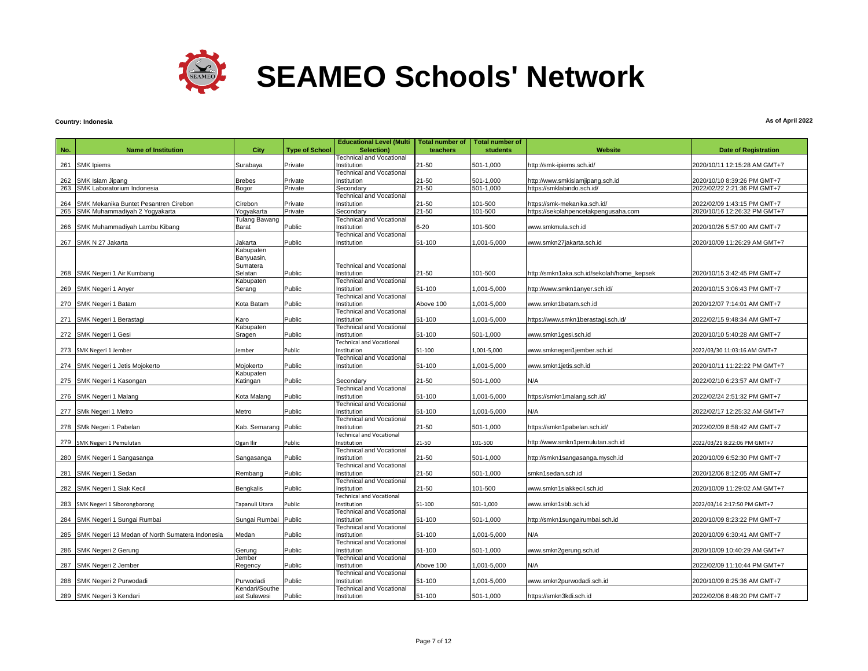

# **Country: Indonesia**

|     |                                                                            |                       |                       | <b>Educational Level (Multi</b>                | <b>Total number of</b> | Total number of    |                                                                      |                                                             |
|-----|----------------------------------------------------------------------------|-----------------------|-----------------------|------------------------------------------------|------------------------|--------------------|----------------------------------------------------------------------|-------------------------------------------------------------|
| No. | <b>Name of Institution</b>                                                 | City                  | <b>Type of School</b> | Selection)                                     | teachers               | students           | Website                                                              | <b>Date of Registration</b>                                 |
|     |                                                                            |                       |                       | <b>Technical and Vocational</b>                |                        |                    |                                                                      |                                                             |
|     | 261 SMK Ipiems                                                             | Surabaya              | Private               | Institution                                    | 21-50                  | 501-1,000          | http://smk-ipiems.sch.id/                                            | 2020/10/11 12:15:28 AM GMT+7                                |
|     |                                                                            |                       |                       | <b>Technical and Vocational</b>                |                        |                    |                                                                      |                                                             |
|     | 262 SMK Islam Jipang                                                       | <b>Brebes</b>         | Private               | Institution                                    | $21 - 50$              | 501-1,000          | http://www.smkislamjipang.sch.id                                     | 2020/10/10 8:39:26 PM GMT+7                                 |
| 263 | SMK Laboratorium Indonesia                                                 | Bogor                 | Private               | Secondary                                      | $21 - 50$              | 501-1,000          | https://smklabindo.sch.id/                                           | 2022/02/22 2:21:36 PM GMT+7                                 |
|     |                                                                            |                       |                       | <b>Technical and Vocational</b>                | $21 - 50$              |                    |                                                                      |                                                             |
| 264 | SMK Mekanika Buntet Pesantren Cirebon<br>265 SMK Muhammadiyah 2 Yogyakarta | Cirebon<br>Yogyakarta | Private<br>Private    | Institution<br>Secondary                       | $21 - 50$              | 101-500<br>101-500 | https://smk-mekanika.sch.id/<br>https://sekolahpencetakpengusaha.com | 2022/02/09 1:43:15 PM GMT+7<br>2020/10/16 12:26:32 PM GMT+7 |
|     |                                                                            | Tulang Bawang         |                       | <b>Technical and Vocational</b>                |                        |                    |                                                                      |                                                             |
|     | 266 SMK Muhammadiyah Lambu Kibang                                          | Barat                 | Public                | Institution                                    | $6 - 20$               | 101-500            | www.smkmula.sch.id                                                   | 2020/10/26 5:57:00 AM GMT+7                                 |
|     |                                                                            |                       |                       | <b>Technical and Vocational</b>                |                        |                    |                                                                      |                                                             |
|     | 267 SMK N 27 Jakarta                                                       | Jakarta               | Public                | Institution                                    | 51-100                 | 000,5-000,1        | www.smkn27jakarta.sch.id                                             | 2020/10/09 11:26:29 AM GMT+7                                |
|     |                                                                            | Kabupaten             |                       |                                                |                        |                    |                                                                      |                                                             |
|     |                                                                            | Banyuasin,            |                       |                                                |                        |                    |                                                                      |                                                             |
|     |                                                                            | Sumatera              |                       | <b>Technical and Vocational</b>                |                        |                    |                                                                      |                                                             |
|     | 268 SMK Negeri 1 Air Kumbang                                               | Selatan               | Public                | Institution                                    | 21-50                  | 101-500            | http://smkn1aka.sch.id/sekolah/home_kepsek                           | 2020/10/15 3:42:45 PM GMT+7                                 |
|     |                                                                            | Kabupaten             |                       | <b>Technical and Vocational</b>                |                        |                    |                                                                      |                                                             |
|     | 269 SMK Negeri 1 Anyer                                                     | Serang                | Public                | Institution                                    | 51-100                 | 001-5,000          | http://www.smkn1anyer.sch.id/                                        | 2020/10/15 3:06:43 PM GMT+7                                 |
|     |                                                                            | Kota Batam            | Public                | <b>Technical and Vocational</b><br>Institution | Above 100              | 000,5-100,1        | www.smkn1batam.sch.id                                                | 2020/12/07 7:14:01 AM GMT+7                                 |
|     | 270 SMK Negeri 1 Batam                                                     |                       |                       | <b>Technical and Vocational</b>                |                        |                    |                                                                      |                                                             |
|     | 271 SMK Negeri 1 Berastagi                                                 | Karo                  | Public                | Institution                                    | 51-100                 | $001 - 5000$       | https://www.smkn1berastagi.sch.id/                                   | 2022/02/15 9:48:34 AM GMT+7                                 |
|     |                                                                            | Kabupaten             |                       | <b>Technical and Vocational</b>                |                        |                    |                                                                      |                                                             |
|     | 272 SMK Negeri 1 Gesi                                                      | Sragen                | Public                | Institution                                    | 51-100                 | 501-1,000          | www.smkn1gesi.sch.id                                                 | 2020/10/10 5:40:28 AM GMT+7                                 |
|     |                                                                            |                       |                       | <b>Technical and Vocational</b>                |                        |                    |                                                                      |                                                             |
|     | 273 SMK Negeri 1 Jember                                                    | Jember                | Public                | Institution                                    | 51-100                 | 1,001-5,000        | www.smknegeri1jember.sch.id                                          | 2022/03/30 11:03:16 AM GMT+7                                |
|     |                                                                            |                       |                       | <b>Technical and Vocational</b>                |                        |                    |                                                                      |                                                             |
|     | 274 SMK Negeri 1 Jetis Mojokerto                                           | Mojokerto             | Public                | Institution                                    | 51-100                 | $001 - 5000$       | www.smkn1jetis.sch.id                                                | 2020/10/11 11:22:22 PM GMT+7                                |
|     |                                                                            | Kabupaten             |                       |                                                |                        |                    |                                                                      |                                                             |
|     | 275 SMK Negeri 1 Kasongan                                                  | Katingan              | Public                | Secondary                                      | 21-50                  | 501-1,000          | N/A                                                                  | 2022/02/10 6:23:57 AM GMT+7                                 |
|     |                                                                            |                       |                       | <b>Technical and Vocational</b>                |                        |                    |                                                                      |                                                             |
|     | 276 SMK Negeri 1 Malang                                                    | Kota Malang           | Public                | Institution<br><b>Technical and Vocational</b> | 51-100                 | $,001 - 5,000$     | https://smkn1malang.sch.id/                                          | 2022/02/24 2:51:32 PM GMT+7                                 |
|     | 277 SMk Negeri 1 Metro                                                     | Metro                 | Public                | Institution                                    | 51-100                 | 001-5,000          | N/A                                                                  | 2022/02/17 12:25:32 AM GMT+7                                |
|     |                                                                            |                       |                       | <b>Technical and Vocational</b>                |                        |                    |                                                                      |                                                             |
|     | 278 SMk Negeri 1 Pabelan                                                   | Kab. Semarang Public  |                       | Institution                                    | 21-50                  | 501-1,000          | https://smkn1pabelan.sch.id/                                         | 2022/02/09 8:58:42 AM GMT+7                                 |
|     |                                                                            |                       |                       | <b>Technical and Vocational</b>                |                        |                    |                                                                      |                                                             |
|     | 279 SMK Negeri 1 Pemulutan                                                 | Ogan Ilir             | Public                | Institution                                    | 21-50                  | 101-500            | http://www.smkn1pemulutan.sch.id                                     | 2022/03/21 8:22:06 PM GMT+7                                 |
|     |                                                                            |                       |                       | Technical and Vocational                       |                        |                    |                                                                      |                                                             |
|     | 280 SMK Negeri 1 Sangasanga                                                | Sangasanga            | Public                | Institution                                    | 21-50                  | 501-1,000          | http://smkn1sangasanga.mysch.id                                      | 2020/10/09 6:52:30 PM GMT+7                                 |
|     |                                                                            |                       |                       | <b>Technical and Vocational</b>                |                        |                    |                                                                      |                                                             |
|     | 281 SMK Negeri 1 Sedan                                                     | Rembang               | Public                | Institution                                    | 21-50                  | 501-1,000          | smkn1sedan.sch.id                                                    | 2020/12/06 8:12:05 AM GMT+7                                 |
|     |                                                                            |                       |                       | <b>Technical and Vocational</b>                |                        |                    |                                                                      |                                                             |
|     | 282 SMK Negeri 1 Siak Kecil                                                | <b>Bengkalis</b>      | Public                | Institution                                    | 21-50                  | 101-500            | www.smkn1siakkecil.sch.id                                            | 2020/10/09 11:29:02 AM GMT+7                                |
|     |                                                                            | Tapanuli Utara        | Public                | <b>Technical and Vocational</b><br>Institution | 51-100                 | 501-1,000          | www.smkn1sbb.sch.id                                                  | 2022/03/16 2:17:50 PM GMT+7                                 |
|     | 283 SMK Negeri 1 Siborongborong                                            |                       |                       | Technical and Vocational                       |                        |                    |                                                                      |                                                             |
|     | 284 SMK Negeri 1 Sungai Rumbai                                             | Sungai Rumbai Public  |                       | Institution                                    | 51-100                 | 501-1,000          | http://smkn1sungairumbai.sch.id                                      | 2020/10/09 8:23:22 PM GMT+7                                 |
|     |                                                                            |                       |                       | <b>Technical and Vocational</b>                |                        |                    |                                                                      |                                                             |
|     | 285 SMK Negeri 13 Medan of North Sumatera Indonesia                        | Medan                 | Public                | Institution                                    | 51-100                 | 001-5,000          | N/A                                                                  | 2020/10/09 6:30:41 AM GMT+7                                 |
|     |                                                                            |                       |                       | <b>Technical and Vocational</b>                |                        |                    |                                                                      |                                                             |
|     | 286 SMK Negeri 2 Gerung                                                    | Gerung                | Public                | Institution                                    | 51-100                 | 501-1,000          | www.smkn2gerung.sch.id                                               | 2020/10/09 10:40:29 AM GMT+7                                |
|     |                                                                            | Jember                |                       | <b>Technical and Vocational</b>                |                        |                    |                                                                      |                                                             |
|     | 287 SMK Negeri 2 Jember                                                    | Regency               | Public                | Institution                                    | Above 100              | 000,5-001,1        | N/A                                                                  | 2022/02/09 11:10:44 PM GMT+7                                |
|     |                                                                            |                       |                       | Technical and Vocational                       |                        |                    |                                                                      |                                                             |
|     | 288 SMK Negeri 2 Purwodadi                                                 | Purwodadi             | Public                | Institution                                    | 51-100                 | $,001 - 5,000$     | www.smkn2purwodadi.sch.id                                            | 2020/10/09 8:25:36 AM GMT+7                                 |
|     |                                                                            | Kendari/Southe        |                       | <b>Technical and Vocational</b>                |                        |                    |                                                                      |                                                             |
|     | 289 SMK Negeri 3 Kendari                                                   | ast Sulawesi          | Public                | Institution                                    | 51-100                 | 501-1,000          | https://smkn3kdi.sch.id                                              | 2022/02/06 8:48:20 PM GMT+7                                 |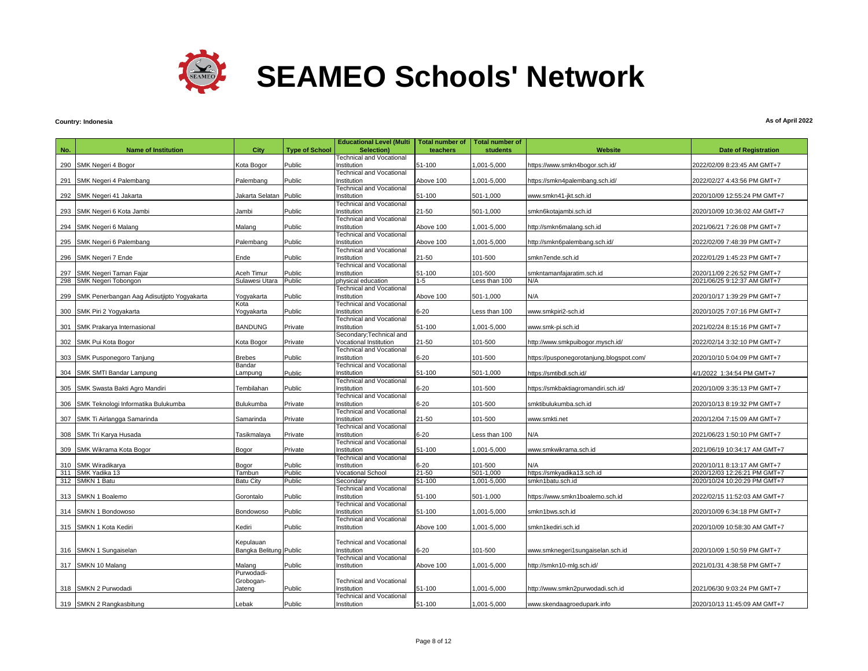

# **Country: Indonesia**

|     |                                                | City                       | <b>Type of School</b> | <b>Educational Level (Multi</b>                | <b>Total number of</b><br>teachers | <b>Total number of</b><br>students | <b>Website</b>                                 |                                                             |
|-----|------------------------------------------------|----------------------------|-----------------------|------------------------------------------------|------------------------------------|------------------------------------|------------------------------------------------|-------------------------------------------------------------|
| No. | <b>Name of Institution</b>                     |                            |                       | Selection)<br><b>Technical and Vocational</b>  |                                    |                                    |                                                | <b>Date of Registration</b>                                 |
|     | 290 SMK Negeri 4 Bogor                         | Kota Bogor                 | Public                | Institution                                    | 51-100                             | 000,5-000,1                        | https://www.smkn4bogor.sch.id/                 | 2022/02/09 8:23:45 AM GMT+7                                 |
|     |                                                |                            |                       | <b>Technical and Vocational</b>                |                                    |                                    |                                                |                                                             |
| 291 | SMK Negeri 4 Palembang                         | Palembang                  | Public                | Institution                                    | Above 100                          | 1,001-5,000                        | https://smkn4palembang.sch.id/                 | 2022/02/27 4:43:56 PM GMT+7                                 |
|     |                                                |                            |                       | Technical and Vocational                       |                                    |                                    |                                                |                                                             |
|     | 292 SMK Negeri 41 Jakarta                      | Jakarta Selatan            | Public                | Institution                                    | 51-100                             | 501-1,000                          | www.smkn41-jkt.sch.id                          | 2020/10/09 12:55:24 PM GMT+7                                |
|     |                                                |                            |                       | <b>Technical and Vocational</b>                |                                    |                                    |                                                |                                                             |
|     | 293 SMK Negeri 6 Kota Jambi                    | Jambi                      | Public                | Institution                                    | 21-50                              | 501-1,000                          | smkn6kotajambi.sch.id                          | 2020/10/09 10:36:02 AM GMT+7                                |
|     |                                                |                            |                       | <b>Technical and Vocational</b>                |                                    |                                    |                                                |                                                             |
|     | 294 SMK Negeri 6 Malang                        | Malang                     | Public                | Institution                                    | Above 100                          | 1,001-5,000                        | http://smkn6malang.sch.id                      | 2021/06/21 7:26:08 PM GMT+7                                 |
|     |                                                |                            |                       | <b>Technical and Vocational</b>                |                                    |                                    |                                                |                                                             |
| 295 | SMK Negeri 6 Palembang                         | Palembang                  | Public                | Institution                                    | Above 100                          | 1,001-5,000                        | http://smkn6palembang.sch.id/                  | 2022/02/09 7:48:39 PM GMT+7                                 |
|     |                                                |                            |                       | Technical and Vocational                       |                                    |                                    |                                                |                                                             |
|     | 296 SMK Negeri 7 Ende                          | Ende                       | Public                | Institution                                    | 21-50                              | 101-500                            | smkn7ende.sch.id                               | 2022/01/29 1:45:23 PM GMT+7                                 |
|     |                                                |                            |                       | <b>Technical and Vocational</b>                |                                    |                                    |                                                |                                                             |
|     | 297 SMK Negeri Taman Fajar                     | Aceh Timur                 | Public                | Institution                                    | 51-100                             | 101-500                            | smkntamanfajaratim.sch.id                      | 2020/11/09 2:26:52 PM GMT+7                                 |
|     | 298 SMK Negeri Tobongon                        | Sulawesi Utara             | Public                | physical education                             | $1 - 5$                            | Less than 100                      | N/A                                            | 2021/06/25 9:12:37 AM GMT+7                                 |
|     |                                                |                            |                       | Technical and Vocational                       |                                    |                                    |                                                |                                                             |
|     | 299 SMK Penerbangan Aag Adisutjipto Yogyakarta | Yogyakarta<br>Kota         | Public                | Institution                                    | Above 100                          | 501-1,000                          | N/A                                            | 2020/10/17 1:39:29 PM GMT+7                                 |
|     | 300 SMK Piri 2 Yogyakarta                      | Yogyakarta                 | Public                | <b>Technical and Vocational</b><br>Institution | 6-20                               | Less than 100                      | www.smkpiri2-sch.id                            | 2020/10/25 7:07:16 PM GMT+7                                 |
|     |                                                |                            |                       | <b>Technical and Vocational</b>                |                                    |                                    |                                                |                                                             |
|     | 301 SMK Prakarya Internasional                 | <b>BANDUNG</b>             | Private               | Institution                                    | 51-100                             | 1,001-5,000                        | www.smk-pi.sch.id                              | 2021/02/24 8:15:16 PM GMT+7                                 |
|     |                                                |                            |                       | Secondary; Technical and                       |                                    |                                    |                                                |                                                             |
|     | 302 SMK Pui Kota Bogor                         | Kota Bogor                 | Private               | Vocational Institution                         | 21-50                              | 101-500                            | http://www.smkpuibogor.mysch.id/               | 2022/02/14 3:32:10 PM GMT+7                                 |
|     |                                                |                            |                       | <b>Technical and Vocational</b>                |                                    |                                    |                                                |                                                             |
|     | 303 SMK Pusponegoro Tanjung                    | <b>Brebes</b>              | Public                | Institution                                    | $6 - 20$                           | 101-500                            | https://pusponegorotanjung.blogspot.com/       | 2020/10/10 5:04:09 PM GMT+7                                 |
|     |                                                | Bandar                     |                       | <b>Technical and Vocational</b>                |                                    |                                    |                                                |                                                             |
|     | 304 SMK SMTI Bandar Lampung                    | _ampung                    | Public                | Institution                                    | 51-100                             | 501-1.000                          | https://smtibdl.sch.id/                        | 4/1/2022 1:34:54 PM GMT+7                                   |
|     |                                                |                            |                       | <b>Technical and Vocational</b>                |                                    |                                    |                                                |                                                             |
| 305 | SMK Swasta Bakti Agro Mandiri                  | Tembilahan                 | Public                | Institution                                    | $6 - 20$                           | 101-500                            | https://smkbaktiagromandiri.sch.id/            | 2020/10/09 3:35:13 PM GMT+7                                 |
|     |                                                |                            |                       | <b>Technical and Vocational</b>                |                                    |                                    |                                                |                                                             |
| 306 | SMK Teknologi Informatika Bulukumba            | Bulukumba                  | Private               | Institution                                    | $6 - 20$                           | 101-500                            | smktibulukumba.sch.id                          | 2020/10/13 8:19:32 PM GMT+7                                 |
|     |                                                |                            |                       | <b>Technical and Vocational</b>                |                                    |                                    |                                                |                                                             |
|     | 307 SMK Ti Airlangga Samarinda                 | Samarinda                  | Private               | Institution                                    | 21-50                              | 101-500                            | www.smkti.net                                  | 2020/12/04 7:15:09 AM GMT+7                                 |
|     |                                                |                            |                       | Technical and Vocational                       |                                    |                                    |                                                |                                                             |
|     | 308 SMK Tri Karya Husada                       | Tasikmalaya                | Private               | Institution                                    | 6-20                               | Less than 100                      | N/A                                            | 2021/06/23 1:50:10 PM GMT+7                                 |
|     |                                                |                            |                       | <b>Technical and Vocational</b>                |                                    |                                    |                                                |                                                             |
|     | 309 SMK Wikrama Kota Bogor                     | Bogor                      | Private               | Institution                                    | 51-100                             | 000,5-100,1                        | www.smkwikrama.sch.id                          | 2021/06/19 10:34:17 AM GMT+7                                |
|     |                                                |                            | Public                | <b>Technical and Vocational</b><br>Institution | $6 - 20$                           | 101-500                            | N/A                                            |                                                             |
|     | 310 SMK Wiradikarya                            | Bogor                      | Public                |                                                | $21 - 50$                          | 501-1,000                          |                                                | 2020/10/11 8:13:17 AM GMT+7<br>2020/12/03 12:26:21 PM GMT+7 |
|     | 311 SMK Yadika 13<br>312 SMKN 1 Batu           | Tambun<br><b>Batu City</b> | Public                | <b>Vocational School</b><br>Secondary          | 51-100                             | 1,001-5,000                        | https://smkyadika13.sch.id<br>smkn1batu.sch.id | 2020/10/24 10:20:29 PM GMT+7                                |
|     |                                                |                            |                       | <b>Technical and Vocational</b>                |                                    |                                    |                                                |                                                             |
|     | 313 SMKN 1 Boalemo                             | Gorontalo                  | Public                | Institution                                    | 51-100                             | 501-1,000                          | https://www.smkn1boalemo.sch.id                | 2022/02/15 11:52:03 AM GMT+7                                |
|     |                                                |                            |                       | <b>Technical and Vocational</b>                |                                    |                                    |                                                |                                                             |
|     | 314 SMKN 1 Bondowoso                           | Bondowoso                  | Public                | Institution                                    | 51-100                             | 1,001-5,000                        | smkn1bws.sch.id                                | 2020/10/09 6:34:18 PM GMT+7                                 |
|     |                                                |                            |                       | <b>Technical and Vocational</b>                |                                    |                                    |                                                |                                                             |
|     | 315 SMKN 1 Kota Kediri                         | Kediri                     | Public                | Institution                                    | Above 100                          | 1,001-5,000                        | smkn1kediri.sch.id                             | 2020/10/09 10:58:30 AM GMT+7                                |
|     |                                                |                            |                       |                                                |                                    |                                    |                                                |                                                             |
|     |                                                | Kepulauan                  |                       | <b>Technical and Vocational</b>                |                                    |                                    |                                                |                                                             |
|     | 316 SMKN 1 Sungaiselan                         | Bangka Belitung Public     |                       | Institution                                    | 6-20                               | 101-500                            | www.smknegeri1sungaiselan.sch.id               | 2020/10/09 1:50:59 PM GMT+7                                 |
|     |                                                |                            |                       | <b>Technical and Vocational</b>                |                                    |                                    |                                                |                                                             |
|     | 317 SMKN 10 Malang                             | Malang                     | Public                | Institution                                    | Above 100                          | 1,001-5,000                        | http://smkn10-mlg.sch.id/                      | 2021/01/31 4:38:58 PM GMT+7                                 |
|     |                                                | Purwodadi-                 |                       |                                                |                                    |                                    |                                                |                                                             |
|     |                                                | Grobogan-                  |                       | <b>Technical and Vocational</b>                |                                    |                                    |                                                |                                                             |
|     | 318 SMKN 2 Purwodadi                           | Jateng                     | Public                | Institution                                    | 51-100                             | 001-5,000,                         | http://www.smkn2purwodadi.sch.id               | 2021/06/30 9:03:24 PM GMT+7                                 |
|     |                                                |                            |                       | <b>Technical and Vocational</b>                |                                    |                                    |                                                |                                                             |
|     | 319 SMKN 2 Rangkasbitung                       | Lebak                      | Public                | Institution                                    | 51-100                             | 1,001-5,000                        | www.skendaagroedupark.info                     | 2020/10/13 11:45:09 AM GMT+7                                |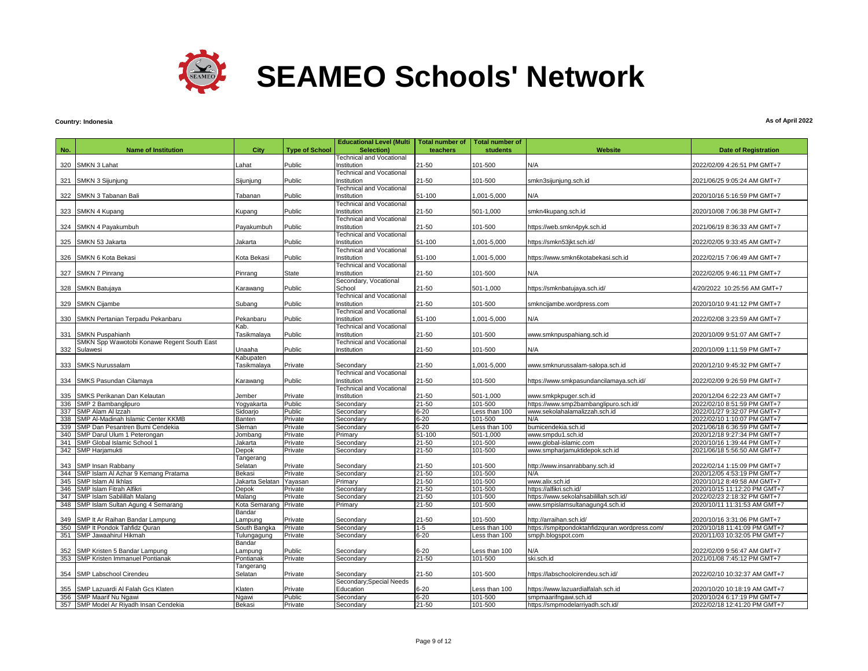

## **Country: Indonesia**

|            |                                                                    |                          |                       | <b>Educational Level (Multi</b>               | <b>Total number of</b> | <b>Total number of</b>  |                                                           |                                                             |
|------------|--------------------------------------------------------------------|--------------------------|-----------------------|-----------------------------------------------|------------------------|-------------------------|-----------------------------------------------------------|-------------------------------------------------------------|
| No.        | <b>Name of Institution</b>                                         | City                     | <b>Type of School</b> | Selection)                                    | teachers               | <b>students</b>         | Website                                                   | <b>Date of Registration</b>                                 |
|            |                                                                    |                          |                       | <b>Technical and Vocational</b>               |                        |                         |                                                           |                                                             |
|            | 320 SMKN 3 Lahat                                                   | Lahat                    | Public                | Institution                                   | 21-50                  | 101-500                 | N/A                                                       | 2022/02/09 4:26:51 PM GMT+7                                 |
|            |                                                                    |                          |                       | <b>Technical and Vocational</b>               |                        |                         |                                                           |                                                             |
| 321        | SMKN 3 Sijunjung                                                   | Sijunjung                | Public                | Institution                                   | $21 - 50$              | 101-500                 | smkn3sijunjung.sch.id                                     | 2021/06/25 9:05:24 AM GMT+7                                 |
|            |                                                                    |                          |                       | Technical and Vocational                      |                        |                         |                                                           |                                                             |
| 322        | SMKN 3 Tabanan Bali                                                | Tabanan                  | Public                | nstitution<br><b>Technical and Vocational</b> | 51-100                 | 001-5,000               | N/A                                                       | 2020/10/16 5:16:59 PM GMT+7                                 |
|            | 323 SMKN 4 Kupang                                                  | Kupang                   | Public                | Institution                                   | $21 - 50$              | 501-1,000               | smkn4kupang.sch.id                                        | 2020/10/08 7:06:38 PM GMT+7                                 |
|            |                                                                    |                          |                       | <b>Technical and Vocational</b>               |                        |                         |                                                           |                                                             |
| 324        | SMKN 4 Payakumbuh                                                  | Payakumbuh               | Public                | Institution                                   | $21 - 50$              | 101-500                 | https://web.smkn4pyk.sch.id                               | 2021/06/19 8:36:33 AM GMT+7                                 |
|            |                                                                    |                          |                       | <b>Technical and Vocational</b>               |                        |                         |                                                           |                                                             |
| 325        | SMKN 53 Jakarta                                                    | Jakarta                  | Public                | Institution                                   | 51-100                 | 1,001-5,000             | /1ttps://smkn53jkt.sch.id                                 | 2022/02/05 9:33:45 AM GMT+7                                 |
|            |                                                                    |                          |                       | <b>Technical and Vocational</b>               |                        |                         |                                                           |                                                             |
| 326        | SMKN 6 Kota Bekasi                                                 | Kota Bekasi              | Public                | Institution                                   | 51-100                 | 1,001-5,000             | nttps://www.smkn6kotabekasi.sch.id                        | 2022/02/15 7:06:49 AM GMT+7                                 |
|            |                                                                    |                          |                       | <b>Technical and Vocational</b>               |                        |                         |                                                           |                                                             |
|            | 327 SMKN 7 Pinrang                                                 | Pinrang                  | <b>State</b>          | Institution                                   | $21 - 50$              | 101-500                 | N/A                                                       | 2022/02/05 9:46:11 PM GMT+7                                 |
| 328        | SMKN Batujaya                                                      | Karawang                 | Public                | Secondary, Vocational<br>School               | 21-50                  | 501-1,000               | https://smknbatujaya.sch.id/                              | 4/20/2022 10:25:56 AM GMT+7                                 |
|            |                                                                    |                          |                       | <b>Technical and Vocational</b>               |                        |                         |                                                           |                                                             |
| 329        | <b>SMKN Cijambe</b>                                                | Subang                   | Public                | Institution                                   | $21 - 50$              | 101-500                 | smkncijambe.wordpress.com                                 | 2020/10/10 9:41:12 PM GMT+7                                 |
|            |                                                                    |                          |                       | <b>Technical and Vocational</b>               |                        |                         |                                                           |                                                             |
|            | 330 SMKN Pertanian Terpadu Pekanbaru                               | Pekanbaru                | Public                | Institution                                   | 51-100                 | 1,001-5,000             | N/A                                                       | 2022/02/08 3:23:59 AM GMT+7                                 |
|            |                                                                    | Kab.                     |                       | <b>Technical and Vocational</b>               |                        |                         |                                                           |                                                             |
| 331        | SMKN Puspahianh                                                    | Tasikmalaya              | Public                | Institution                                   | 21-50                  | 101-500                 | www.smknpuspahiang.sch.id                                 | 2020/10/09 9:51:07 AM GMT+7                                 |
|            | SMKN Spp Wawotobi Konawe Regent South East                         |                          |                       | <b>Technical and Vocational</b>               |                        |                         |                                                           |                                                             |
|            | 332 Sulawesi                                                       | Unaaha                   | Public                | Institution                                   | 21-50                  | 101-500                 | N/A                                                       | 2020/10/09 1:11:59 PM GMT+7                                 |
|            | 333 SMKS Nurussalam                                                | Kabupaten<br>Tasikmalaya | Private               | Secondary                                     | 21-50                  | 000,5-100,1             | www.smknurussalam-salopa.sch.id                           | 2020/12/10 9:45:32 PM GMT+7                                 |
|            |                                                                    |                          |                       | <b>Technical and Vocational</b>               |                        |                         |                                                           |                                                             |
| 334        | SMKS Pasundan Cilamaya                                             | Karawang                 | Public                | Institution                                   | $21 - 50$              | 101-500                 | https://www.smkpasundancilamaya.sch.id/                   | 2022/02/09 9:26:59 PM GMT+7                                 |
|            |                                                                    |                          |                       | <b>Technical and Vocational</b>               |                        |                         |                                                           |                                                             |
| 335        | SMKS Perikanan Dan Kelautan                                        | Jember                   | Private               | Institution                                   | $21 - 50$              | 501-1,000               | www.smkpkpuger.sch.id                                     | 2020/12/04 6:22:23 AM GMT+7                                 |
|            | 336 SMP 2 Bambanglipuro                                            | Yogyakarta               | Public                | Secondary                                     | $21 - 50$              | 101-500                 | https://www.smp2bambanglipuro.sch.id/                     | 2022/02/10 8:51:59 PM GMT+7                                 |
|            | 337 SMP Alam Al Izzah                                              | Sidoarjo                 | Public                | Secondary                                     | $6 - 20$               | Less than 100           | www.sekolahalamalizzah.sch.id                             | 2022/01/27 9:32:07 PM GMT+7                                 |
|            | 338 SMP Al-Madinah Islamic Center KKMB                             | Banten                   | Private               | Secondary                                     | $6 - 20$               | 101-500                 | N/A                                                       | 2022/02/10 1:10:07 PM GMT+7                                 |
| 339<br>340 | SMP Dan Pesantren Bumi Cendekia                                    | Sleman                   | Private               | Secondary                                     | $6 - 20$<br>51-100     | Less than 100           | bumicendekia.sch.id                                       | 2021/06/18 6:36:59 PM GMT+7                                 |
|            | SMP Darul Ulum 1 Peterongan<br>341 SMP Global Islamic School 1     | Jombang<br>Jakarta       | Private<br>Private    | Primary<br>Secondary                          | $21 - 50$              | 501-1,000<br>101-500    | www.smpdu1.sch.id<br>www.global-islamic.com               | 2020/12/18 9:27:34 PM GMT+7<br>2020/10/16 1:39:44 PM GMT+7  |
|            | 342 SMP Harjamukti                                                 | Depok                    | Private               | Secondary                                     | $21 - 50$              | 101-500                 | www.smpharjamuktidepok.sch.id                             | 2021/06/18 5:56:50 AM GMT+7                                 |
|            |                                                                    | Tangerang                |                       |                                               |                        |                         |                                                           |                                                             |
| 343        | SMP Insan Rabbany                                                  | Selatan                  | Private               | Secondary                                     | 21-50                  | 101-500                 | http://www.insanrabbany.sch.id                            | 2022/02/14 1:15:09 PM GMT+7                                 |
|            | 344 SMP Islam AI Azhar 9 Kemang Pratama                            | Bekasi                   | Private               | Secondary                                     | $21 - 50$              | 101-500                 | N/A                                                       | 2020/12/05 4:53:19 PM GMT+7                                 |
| 345        | SMP Islam Al Ikhlas                                                | Jakarta Selatan          | Yayasan               | Primary                                       | $21 - 50$              | 101-500                 | www.alix.sch.id                                           | 2020/10/12 8:49:58 AM GMT+7                                 |
| 346        | SMP Islam Fitrah Alfikri                                           | Depok                    | Private               | Secondary                                     | 21-50                  | 101-500                 | https://alfikri.sch.id/                                   | 2020/10/15 11:12:20 PM GMT+7                                |
| 347        | SMP Islam Sabilillah Malang                                        | Malang                   | Private               | Secondary                                     | $21 - 50$              | 101-500                 | https://www.sekolahsabilillah.sch.id/                     | 2022/02/23 2:18:32 PM GMT+7                                 |
| 348        | SMP Islam Sultan Agung 4 Semarang                                  | Kota Semarang            | Private               | Primary                                       | $21 - 50$              | 101-500                 | www.smpislamsultanagung4.sch.id                           | 2020/10/11 11:31:53 AM GMT+7                                |
| 349        |                                                                    | Bandar                   |                       |                                               | 21-50                  | 101-500                 | http://arraihan.sch.id/                                   |                                                             |
|            | SMP It Ar Raihan Bandar Lampung<br>350 SMP It Pondok Tahfidz Quran | Lampung<br>South Bangka  | Private<br>Private    | Secondary<br>Secondary                        | $1 - 5$                | Less than 100           | https://smpitpondoktahfidzquran.wordpress.com/            | 2020/10/16 3:31:06 PM GMT+7<br>2020/10/18 11:41:09 PM GMT+7 |
| 351        | SMP Jawaahirul Hikmah                                              | Tulungagung              | Private               | Secondary                                     | $6 - 20$               | Less than 100           | smpjh.blogspot.com                                        | 2020/11/03 10:32:05 PM GMT+7                                |
|            |                                                                    | Bandar                   |                       |                                               |                        |                         |                                                           |                                                             |
| 352        | SMP Kristen 5 Bandar Lampung                                       | ampung                   | Public                | Secondary                                     | $6 - 20$               | ess than 100            | N/A                                                       | 2022/02/09 9:56:47 AM GMT+7                                 |
| 353        | <b>SMP Kristen Immanuel Pontianak</b>                              | Pontianak                | Private               | Secondary                                     | $21 - 50$              | 101-500                 | ski.sch.id                                                | 2021/01/08 7:45:12 PM GMT+7                                 |
|            |                                                                    | Tangerang                |                       |                                               |                        |                         |                                                           |                                                             |
| 354        | SMP Labschool Cirendeu                                             | Selatan                  | Private               | Secondary                                     | $21 - 50$              | 101-500                 | https://labschoolcirendeu.sch.id/                         | 2022/02/10 10:32:37 AM GMT+7                                |
|            |                                                                    |                          |                       | Secondary; Special Needs                      |                        |                         |                                                           |                                                             |
| 355        | SMP Lazuardi Al Falah Gcs Klaten                                   | Klaten                   | Private<br>Public     | Education                                     | $6 - 20$               | ess than 100<br>101-500 | https://www.lazuardialfalah.sch.id                        | 2020/10/20 10:18:19 AM GMT+7                                |
| 356        | SMP Maarif Nu Ngawi<br>357 SMP Model Ar Riyadh Insan Cendekia      | Ngawi<br>Bekasi          | Private               | Secondary<br>Secondary                        | $6 - 20$<br>$21 - 50$  | 101-500                 | smpmaarifngawi.sch.id<br>https://smpmodelarriyadh.sch.id/ | 2020/10/24 6:17:19 PM GMT+7<br>2022/02/18 12:41:20 PM GMT+7 |
|            |                                                                    |                          |                       |                                               |                        |                         |                                                           |                                                             |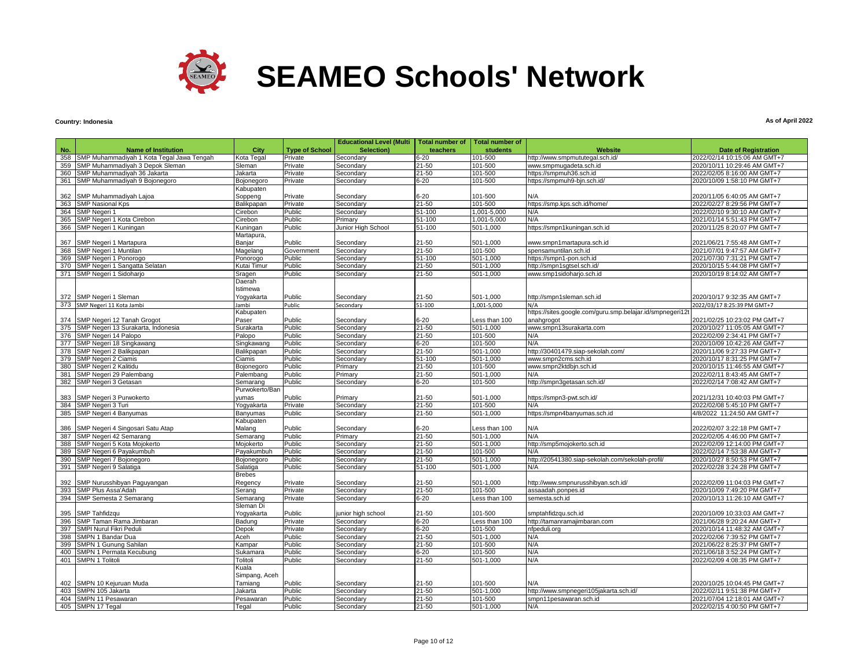

### **Country: Indonesia**

|     |                                           |                |                       | <b>Educational Level (Multi</b> | <b>Total number of</b> | <b>Total number of</b> |                                                           |                              |
|-----|-------------------------------------------|----------------|-----------------------|---------------------------------|------------------------|------------------------|-----------------------------------------------------------|------------------------------|
| No. | <b>Name of Institution</b>                | City           | <b>Type of School</b> | Selection)                      | teachers               | students               | <b>Website</b>                                            | <b>Date of Registration</b>  |
| 358 | SMP Muhammadiyah 1 Kota Tegal Jawa Tengah | Kota Tegal     | Private               | Secondary                       | $6 - 20$               | 101-500                | http://www.smpmututegal.sch.id/                           | 2022/02/14 10:15:06 AM GMT+7 |
| 359 | SMP Muhammadiyah 3 Depok Sleman           | Sleman         | Private               | Secondary                       | $21 - 50$              | 101-500                | www.smpmugadeta.sch.id                                    | 2020/10/11 10:29:46 AM GMT+7 |
| 360 | SMP Muhammadiyah 36 Jakarta               | Jakarta        | Private               | Secondary                       | $21 - 50$              | 101-500                | https://smpmuh36.sch.id                                   | 2022/02/05 8:16:00 AM GMT+7  |
|     | 361 SMP Muhammadiyah 9 Bojonegoro         | Bojonegoro     | Private               | Secondary                       | $6 - 20$               | 101-500                | https://smpmuh9-bjn.sch.id/                               | 2020/10/09 1:58:10 PM GMT+7  |
|     |                                           | Kabupaten      |                       |                                 |                        |                        |                                                           |                              |
| 362 | SMP Muhammadiyah Lajoa                    | Soppeng        | Private               | Secondary                       | $6 - 20$               | 101-500                | N/A                                                       | 2020/11/05 6:40:05 AM GMT+7  |
|     | 363 SMP Nasional Kps                      | Balikpapan     | Private               | Secondary                       | $21 - 50$              | 101-500                | https://smp.kps.sch.id/home/                              | 2022/02/27 8:29:56 PM GMT+7  |
|     | 364 SMP Negeri 1                          | Cirebon        | Public                | Secondary                       | 51-100                 | 1,001-5,000            | N/A                                                       | 2022/02/10 9:30:10 AM GMT+7  |
| 365 | SMP Negeri 1 Kota Cirebon                 | Cirebon        | Public                | Primary                         | $51 - 100$             | 1,001-5,000            | N/A                                                       | 2021/01/14 5:51:43 PM GMT+7  |
| 366 | SMP Negeri 1 Kuningan                     | Kuningan       | Public                | Junior High School              | $51 - 100$             | 501-1,000              | https://smpn1kuningan.sch.id                              | 2020/11/25 8:20:07 PM GMT+7  |
|     |                                           | Martapura,     |                       |                                 |                        |                        |                                                           |                              |
|     | 367 SMP Negeri 1 Martapura                | Banjar         | Public                | Secondary                       | $21 - 50$              | 501-1,000              | www.smpn1martapura.sch.id                                 | 2021/06/21 7:55:48 AM GMT+7  |
|     | 368 SMP Negeri 1 Muntilan                 | Magelang       | Government            | Secondary                       | $21 - 50$              | 101-500                | spensamuntilan.sch.id                                     | 2021/07/01 9:47:57 AM GMT+7  |
|     | 369 SMP Negeri 1 Ponorogo                 | Ponorogo       | Public                | Secondary                       | 51-100                 | 501-1,000              | https://smpn1-pon.sch.id                                  | 2021/07/30 7:31:21 PM GMT+7  |
|     | 370 SMP Negeri 1 Sangatta Selatan         | Kutai Timur    | Public                | Secondary                       | $21 - 50$              | 501-1,000              | http://smpn1sgtsel.sch.id/                                | 2020/10/15 5:44:08 PM GMT+7  |
|     | 371 SMP Negeri 1 Sidoharjo                | Sragen         | Public                | Secondary                       | $21 - 50$              | 501-1,000              | www.smp1sidoharjo.sch.id                                  | 2020/10/19 8:14:02 AM GMT+7  |
|     |                                           | Daerah         |                       |                                 |                        |                        |                                                           |                              |
|     |                                           | Istimewa       |                       |                                 |                        |                        |                                                           |                              |
|     | 372 SMP Negeri 1 Sleman                   | Yogyakarta     | Public                | Secondary                       | $21 - 50$              | 501-1,000              | http://smpn1sleman.sch.id                                 | 2020/10/17 9:32:35 AM GMT+7  |
|     | 373 SMP Negeri 11 Kota Jambi              | Jambi          | Public                | Secondary                       | 51-100                 | 1,001-5,000            | N/A                                                       | 2022/03/17 8:25:39 PM GMT+7  |
|     |                                           | Kabupaten      |                       |                                 |                        |                        | https://sites.google.com/guru.smp.belajar.id/smpnegeri12t |                              |
|     | 374 SMP Negeri 12 Tanah Grogot            | Paser          | Public                | Secondary                       | $6 - 20$               | Less than 100          | anahgrogot                                                | 2021/02/25 10:23:02 PM GMT+7 |
|     | 375 SMP Negeri 13 Surakarta, Indonesia    | Surakarta      | Public                | Secondary                       | 21-50                  | 501-1.000              | www.smpn13surakarta.com                                   | 2020/10/27 11:05:05 AM GMT+7 |
|     | 376 SMP Negeri 14 Palopo                  | Palopo         | Public                | Secondary                       | $21 - 50$              | 101-500                | N/A                                                       | 2022/02/09 2:34:41 PM GMT+7  |
|     | 377 SMP Negeri 18 Singkawang              | Singkawang     | Public                | Secondary                       | $6 - 20$               | 101-500                | N/A                                                       | 2020/10/09 10:42:26 AM GMT+7 |
|     | 378 SMP Negeri 2 Balikpapan               | Balikpapan     | Public                | Secondary                       | $21 - 50$              | 501-1,000              | http://30401479.siap-sekolah.com/                         | 2020/11/06 9:27:33 PM GMT+7  |
|     | 379 SMP Negeri 2 Ciamis                   | Ciamis         | Public                | Secondary                       | 51-100                 | 501-1,000              | www.smpn2cms.sch.id                                       | 2020/10/17 8:31:25 PM GMT+7  |
| 380 | SMP Negeri 2 Kalitidu                     | Bojonegoro     | Public                | Primary                         | $21 - 50$              | 101-500                | www.smpn2ktdbjn.sch.id                                    | 2020/10/15 11:46:55 AM GMT+7 |
| 381 | SMP Negeri 29 Palembang                   | Palembang      | Public                | Primary                         | 21-50                  | 501-1,000              | N/A                                                       | 2022/02/11 8:43:45 AM GMT+7  |
|     | 382 SMP Negeri 3 Getasan                  | Semarang       | Public                | Secondary                       | $6 - 20$               | 101-500                | http://smpn3getasan.sch.id/                               | 2022/02/14 7:08:42 AM GMT+7  |
|     |                                           | Purwokerto/Ban |                       |                                 |                        |                        |                                                           |                              |
|     | 383 SMP Negeri 3 Purwokerto               | yumas          | Public                | Primary                         | $21 - 50$              | 501-1,000              | https://smpn3-pwt.sch.id/                                 | 2021/12/31 10:40:03 PM GMT+7 |
|     | 384 SMP Negeri 3 Turi                     | Yoqyakarta     | Private               | Secondary                       | $21 - 50$              | 101-500                | N/A                                                       | 2022/02/08 5:45:10 PM GMT+7  |
|     | 385 SMP Negeri 4 Banyumas                 | Banyumas       | Public                | Secondary                       | $21 - 50$              | 501-1,000              | https://smpn4banyumas.sch.id                              | 4/8/2022 11:24:50 AM GMT+7   |
|     |                                           | Kabupaten      |                       |                                 |                        |                        |                                                           |                              |
|     | 386 SMP Negeri 4 Singosari Satu Atap      | Malang         | Public                | Secondary                       | $6 - 20$               | Less than 100          | N/A                                                       | 2022/02/07 3:22:18 PM GMT+7  |
|     | 387 SMP Negeri 42 Semarang                | Semarang       | Public                | Primary                         | $21 - 50$              | $501 - 1,000$          | N/A                                                       | 2022/02/05 4:46:00 PM GMT+7  |
|     | 388 SMP Negeri 5 Kota Mojokerto           | Mojokerto      | Public                | Secondary                       | $21 - 50$              | 501-1,000              | http://smp5mojokerto.sch.id                               | 2022/02/09 12:14:00 PM GMT+7 |
| 389 | SMP Negeri 6 Payakumbuh                   | Payakumbuh     | Public                | Secondary                       | $21 - 50$              | 101-500                | N/A                                                       | 2022/02/14 7:53:38 AM GMT+7  |
|     | 390 SMP Negeri 7 Bojonegoro               | Bojonegoro     | Public                | Secondary                       | 21-50                  | 501-1,000              | http://20541380.siap-sekolah.com/sekolah-profil/          | 2020/10/27 8:50:53 PM GMT+7  |
|     | 391 SMP Negeri 9 Salatiga                 | Salatiga       | Public                | Secondary                       | 51-100                 | 501-1,000              | N/A                                                       | 2022/02/28 3:24:28 PM GMT+7  |
|     |                                           | <b>Brebes</b>  |                       |                                 |                        |                        |                                                           |                              |
|     | 392 SMP Nurusshibyan Paguyangan           | Regency        | Private               | Secondary                       | 21-50                  | 501-1,000              | http://www.smpnurusshibyan.sch.id/                        | 2022/02/09 11:04:03 PM GMT+7 |
|     | 393 SMP Plus Assa'Adah                    | Serang         | Private               | Secondarv                       | $21 - 50$              | 101-500                | assaadah.ponpes.id                                        | 2020/10/09 7:49:20 PM GMT+7  |
|     | 394 SMP Semesta 2 Semarang                | Semarano       | Private               | Secondary                       | $6 - 20$               | Less than 100          | semesta.sch.id                                            | 2020/10/13 11:26:10 AM GMT+7 |
|     |                                           | Sleman Di      |                       |                                 |                        |                        |                                                           |                              |
|     | 395 SMP Tahfidzqu                         | Yogyakarta     | Public                | junior high school              | 21-50                  | 101-500                | smptahfidzqu.sch.id                                       | 2020/10/09 10:33:03 AM GMT+7 |
|     | 396 SMP Taman Rama Jimbaran               | Badung         | Private               | Secondary                       | $6 - 20$               | Less than 100          | http://tamanramajimbaran.com                              | 2021/06/28 9:20:24 AM GMT+7  |
|     | 397 SMPI Nurul Fikri Peduli               | Depok          | Private               | Secondary                       | $6 - 20$               | 101-500                | nfpeduli.org                                              | 2020/10/14 11:48:32 AM GMT+7 |
| 398 | SMPN 1 Bandar Dua                         | Aceh           | Public                | Secondary                       | $21 - 50$              | 501-1,000              | N/A                                                       | 2022/02/06 7:39:52 PM GMT+7  |
| 399 | SMPN 1 Gunung Sahilan                     | Kampar         | Public                | Secondary                       | $21 - 50$              | 101-500                | N/A                                                       | 2021/06/22 8:25:37 PM GMT+7  |
| 400 | SMPN 1 Permata Kecubung                   | Sukamara       | Public                | Secondary                       | $6 - 20$               | 101-500                | N/A                                                       | 2021/06/18 3:52:24 PM GMT+7  |
| 401 | <b>SMPN 1 Tolitoli</b>                    | Tolitoli       | Public                | Secondary                       | 21-50                  | 501-1,000              | N/A                                                       | 2022/02/09 4:08:35 PM GMT+7  |
|     |                                           | Kuala          |                       |                                 |                        |                        |                                                           |                              |
|     |                                           | Simpang, Aceh  |                       |                                 |                        |                        |                                                           |                              |
|     | 402 SMPN 10 Kejuruan Muda                 | Tamiang        | Public                | Secondary                       | 21-50                  | 101-500                | N/A                                                       | 2020/10/25 10:04:45 PM GMT+7 |
| 403 | SMPN 105 Jakarta                          | Jakarta        | Public                | Secondary                       | $21 - 50$              | $501 - 1,000$          | http://www.smpnegeri105jakarta.sch.id/                    | 2022/02/11 9:51:38 PM GMT+7  |
|     | 404 SMPN 11 Pesawaran                     | Pesawaran      | Public                | Secondary                       | 21-50                  | 101-500                | smpn11pesawaran.sch.id                                    | 2021/07/04 12:18:01 AM GMT+7 |
|     | 405 SMPN 17 Tegal                         | Tegal          | Public                | Secondary                       | $21 - 50$              | 501-1,000              | N/A                                                       | 2022/02/15 4:00:50 PM GMT+7  |
|     |                                           |                |                       |                                 |                        |                        |                                                           |                              |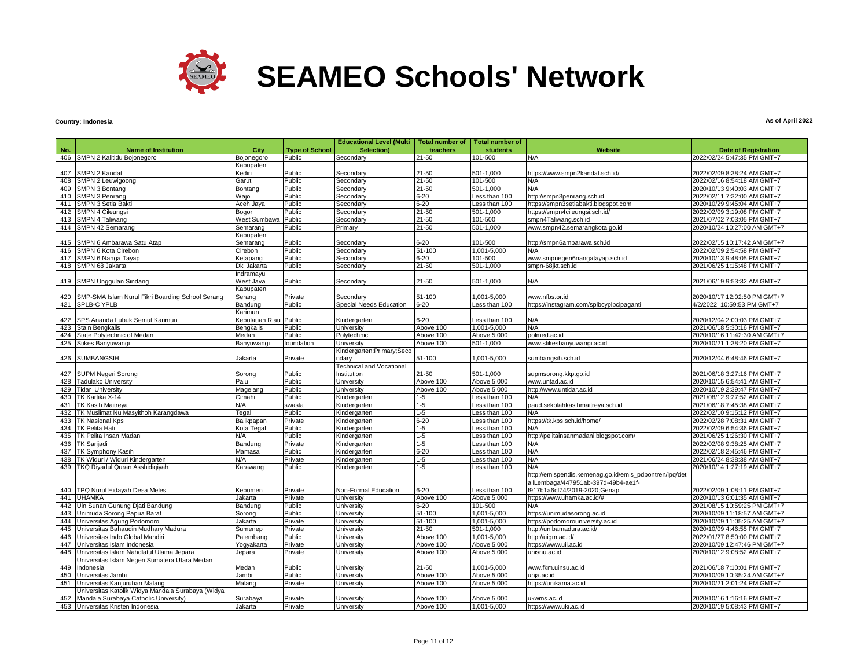

# **Country: Indonesia**

|     |                                                   |                  |                       | <b>Educational Level (Multi</b> | <b>Total number of</b> | <b>Total number of</b> |                                                        |                              |
|-----|---------------------------------------------------|------------------|-----------------------|---------------------------------|------------------------|------------------------|--------------------------------------------------------|------------------------------|
| No. | <b>Name of Institution</b>                        | City             | <b>Type of School</b> | Selection)                      | teachers               | students               | Website                                                | <b>Date of Registration</b>  |
|     | 406 SMPN 2 Kalitidu Bojonegoro                    | Bojonegoro       | Public                | Secondary                       | 21-50                  | 101-500                | N/A                                                    | 2022/02/24 5:47:35 PM GMT+7  |
|     |                                                   | Kabupaten        |                       |                                 |                        |                        |                                                        |                              |
| 407 | <b>SMPN 2 Kandat</b>                              | Kediri           | Public                | Secondary                       | 21-50                  | 501-1.000              | https://www.smpn2kandat.sch.id/                        | 2022/02/09 8:38:24 AM GMT+7  |
| 408 | SMPN 2 Leuwigoong                                 | Garut            | Public                | Secondarv                       | 21-50                  | 101-500                | N/A                                                    | 2022/02/16 8:54:18 AM GMT+7  |
| 409 | SMPN 3 Bontang                                    | Bontang          | Public                | Secondary                       | $21 - 50$              | 501-1,000              | N/A                                                    | 2020/10/13 9:40:03 AM GMT+7  |
| 410 | SMPN 3 Penrang                                    | Wajo             | Public                | Secondary                       | 6-20                   | Less than 100          | http://smpn3penrang.sch.id                             | 2022/02/11 7:32:00 AM GMT+7  |
| 411 | SMPN 3 Setia Bakti                                | Aceh Jaya        | Public                | Secondary                       | $6 - 20$               | Less than 100          | https://smpn3setiabakti.blogspot.com                   | 2020/10/29 9:45:04 AM GMT+7  |
| 412 | <b>SMPN 4 Cileungsi</b>                           | Bogor            | Public                | Secondary                       | 21-50                  | 501-1.000              | https://smpn4cileungsi.sch.id/                         | 2022/02/09 3:19:08 PM GMT+7  |
| 413 | <b>SMPN 4 Taliwang</b>                            | West Sumbawa     | Public                | Secondary                       | $21 - 50$              | 101-500                | smpn4Taliwang.sch.id                                   | 2021/07/02 7:03:05 PM GMT+7  |
|     | 414 SMPN 42 Semarang                              | Semarang         | Public                | Primary                         | $21 - 50$              | 501-1,000              | www.smpn42.semarangkota.go.id                          | 2020/10/24 10:27:00 AM GMT+7 |
|     |                                                   | Kabupaten        |                       |                                 |                        |                        |                                                        |                              |
| 415 | SMPN 6 Ambarawa Satu Atap                         | Semarang         | Public                | Secondary                       | $6 - 20$               | 101-500                | http://smpn6ambarawa.sch.id                            | 2022/02/15 10:17:42 AM GMT+7 |
| 416 | SMPN 6 Kota Cirebon                               | Cirebon          | Public                | Secondary                       | 51-100                 | 1,001-5,000            | N/A                                                    | 2022/02/09 2:54:58 PM GMT+7  |
| 417 | SMPN 6 Nanga Tayap                                | Ketapang         | Public                | Secondary                       | 6-20                   | 101-500                | www.smpnegeri6nangatayap.sch.id                        | 2020/10/13 9:48:05 PM GMT+7  |
|     | 418 SMPN 68 Jakarta                               | Dki Jakarta      | Public                | Secondary                       | $21 - 50$              | 501-1,000              | smpn-68jkt.sch.id                                      | 2021/06/25 1:15:48 PM GMT+7  |
|     |                                                   | Indramayu        |                       |                                 |                        |                        |                                                        |                              |
|     | 419 SMPN Unggulan Sindang                         | West Java        | Public                | Secondary                       | 21-50                  | 501-1,000              | N/A                                                    | 2021/06/19 9:53:32 AM GMT+7  |
|     |                                                   | Kabupaten        |                       |                                 |                        |                        |                                                        |                              |
| 420 | SMP-SMA Islam Nurul Fikri Boarding School Serang  | Serang           | Private               | Secondary                       | 51-100                 | 1,001-5,000            | www.nfbs.or.id                                         | 2020/10/17 12:02:50 PM GMT+7 |
|     | 421 SPLB-C YPLB                                   | Bandung          | Public                | Special Needs Education         | 6-20                   | ess than 100           | https://instagram.com/splbcyplbcipaganti               | 4/2/2022 10:59:53 PM GMT+7   |
|     |                                                   | Karimun          |                       |                                 |                        |                        |                                                        |                              |
|     | 422 SPS Ananda Lubuk Semut Karimun                | Kepulauan Riau   | Public                | Kindergarten                    | 6-20                   | Less than 100          | N/A                                                    | 2020/12/04 2:00:03 PM GMT+7  |
| 423 | Stain Bengkalis                                   | <b>Bengkalis</b> | Public                | University                      | Above 100              | 1,001-5,000            | N/A                                                    | 2021/06/18 5:30:16 PM GMT+7  |
|     | 424 State Polytechnic of Medan                    | Medan            | Public                | Polytechnic                     | Above 100              | Above 5,000            | polmed.ac.id                                           | 2020/10/16 11:42:30 AM GMT+7 |
|     | 425 Stikes Banyuwangi                             | Banyuwangi       | foundation            | <b>University</b>               | Above 100              | 501-1,000              | www.stikesbanyuwangi.ac.id                             | 2020/10/21 1:38:20 PM GMT+7  |
|     |                                                   |                  |                       | Kindergarten; Primary; Seco     |                        |                        |                                                        |                              |
|     | 426 SUMBANGSIH                                    | Jakarta          | Private               | ndary                           | 51-100                 | 1,001-5,000            | sumbangsih.sch.id                                      | 2020/12/04 6:48:46 PM GMT+7  |
|     |                                                   |                  |                       | Technical and Vocational        |                        |                        |                                                        |                              |
|     | 427 SUPM Negeri Sorong                            | Sorong           | Public                | Institution                     | 21-50                  | 501-1,000              | supmsorong.kkp.go.id                                   | 2021/06/18 3:27:16 PM GMT+7  |
| 428 | <b>Tadulako University</b>                        | Palu             | Public                | University                      | Above 100              | Above 5,000            | www.untad.ac.id                                        | 2020/10/15 6:54:41 AM GMT+7  |
|     | 429 Tidar University                              | Magelang         | Public                | University                      | Above 100              | Above 5.000            | http://www.untidar.ac.id                               | 2020/10/19 2:39:47 PM GMT+7  |
| 430 | TK Kartika X-14                                   | Cimahi           | Public                | Kindergarten                    | 1-5                    | Less than 100          | N/A                                                    | 2021/08/12 9:27:52 AM GMT+7  |
| 431 | <b>TK Kasih Maitreya</b>                          | N/A              | swasta                | Kindergarten                    | 1-5                    | Less than 100          | paud.sekolahkasihmaitreya.sch.id                       | 2021/06/18 7:45:38 AM GMT+7  |
| 432 | TK Muslimat Nu Masyithoh Karangdawa               | Tegal            | Public                | Kindergarten                    | 1-5                    | ess than 100           | N/A                                                    | 2022/02/10 9:15:12 PM GMT+7  |
| 433 | <b>TK Nasional Kps</b>                            | Balikpapan       | Private               | Kindergarten                    | $6 - 20$               | Less than 100          | https://tk.kps.sch.id/home/                            | 2022/02/28 7:08:31 AM GMT+7  |
|     | 434 TK Pelita Hati                                | Kota Tegal       | Public                | Kindergarten                    | 1-5                    | Less than 100          | N/A                                                    | 2022/02/09 6:54:36 PM GMT+7  |
| 435 | TK Pelita Insan Madani                            | N/A              | Public                | Kindergarten                    | $1-5$                  | Less than 100          | http://pelitainsanmadani.blogspot.com/                 | 2021/06/25 1:26:30 PM GMT+7  |
| 436 | <b>TK Sarijadi</b>                                | Bandung          | Private               | Kindergarten                    | $1 - 5$                | Less than 100          | N/A                                                    | 2022/02/08 9:38:25 AM GMT+7  |
| 437 | <b>TK Symphony Kasih</b>                          | Mamasa           | Public                | Kindergarten                    | $6 - 20$               | Less than 100          | N/A                                                    | 2022/02/18 2:45:46 PM GMT+7  |
| 438 | TK Widuri / Widuri Kindergarten                   | N/A              | Private               | Kindergarten                    | $1 - 5$                | Less than 100          | N/A                                                    | 2021/06/24 8:38:38 AM GMT+7  |
| 439 | TKQ Riyadul Quran Asshidiqiyah                    | <b>Karawang</b>  | Public                | Kindergarten                    | $1 - 5$                | Less than 100          | N/A                                                    | 2020/10/14 1:27:19 AM GMT+7  |
|     |                                                   |                  |                       |                                 |                        |                        | http://emispendis.kemenag.go.id/emis_pdpontren/lpq/det |                              |
|     |                                                   |                  |                       |                                 |                        |                        | ailLembaga/447951ab-397d-49b4-ae1f-                    |                              |
|     | 440 TPQ Nurul Hidayah Desa Meles                  | Kebumen          | Private               | Non-Formal Education            | 6-20                   | ess than 100           | f917b1a6cf74/2019-2020;Genap                           | 2022/02/09 1:08:11 PM GMT+7  |
| 441 | <b>UHAMKA</b>                                     | Jakarta          | Private               | University                      | Above 100              | Above 5,000            | https://www.uhamka.ac.id/#                             | 2020/10/13 6:01:35 AM GMT+7  |
| 442 | Uin Sunan Gunung Djati Bandung                    | Bandung          | Public                | University                      | $6 - 20$               | 101-500                | N/A                                                    | 2021/08/15 10:59:25 PM GMT+7 |
| 443 | Unimuda Sorong Papua Barat                        | Sorong           | Public                | University                      | 51-100                 | 1,001-5,000            | https://unimudasorong.ac.id                            | 2020/10/09 11:18:57 AM GMT+7 |
| 444 | Universitas Agung Podomoro                        | Jakarta          | Private               | University                      | 51-100                 | 1,001-5,000            | https://podomorouniversity.ac.id                       | 2020/10/09 11:05:25 AM GMT+7 |
| 445 | Universitas Bahaudin Mudhary Madura               | Sumenep          | Private               | University                      | $21 - 50$              | 501-1,000              | http://unibamadura.ac.id/                              | 2020/10/09 4:46:55 PM GMT+7  |
| 446 | Universitas Indo Global Mandiri                   | Palembang        | Public                | <b>University</b>               | Above 100              | 1,001-5,000            | http://uigm.ac.id/                                     | 2022/01/27 8:50:00 PM GMT+7  |
| 447 | Universitas Islam Indonesia                       | Yoqyakarta       | Private               | University                      | Above 100              | Above 5,000            | https://www.uii.ac.id                                  | 2020/10/09 12:47:46 PM GMT+7 |
| 448 | Universitas Islam Nahdlatul Ulama Jepara          | Jepara           | Private               | University                      | Above 100              | Above 5,000            | unisnu.ac.id                                           | 2020/10/12 9:08:52 AM GMT+7  |
|     | Jniversitas Islam Negeri Sumatera Utara Medan     |                  |                       |                                 |                        |                        |                                                        |                              |
| 449 | Indonesia                                         | Medan            | Public                | University                      | 21-50                  | 1,001-5,000            | www.fkm.uinsu.ac.id                                    | 2021/06/18 7:10:01 PM GMT+7  |
| 450 | Universitas Jambi                                 | Jambi            | Public                | <b>University</b>               | Above 100              | Above 5,000            | unja.ac.id                                             | 2020/10/09 10:35:24 AM GMT+7 |
| 451 | Universitas Kanjuruhan Malang                     | Malang           | Private               | University                      | Above 100              | Above 5,000            | https://unikama.ac.id                                  | 2020/10/21 2:01:24 PM GMT+7  |
|     | Universitas Katolik Widya Mandala Surabaya (Widya |                  |                       |                                 |                        |                        |                                                        |                              |
|     | 452 Mandala Surabaya Catholic University)         | Surabaya         | Private               | University                      | Above 100              | Above 5,000            | ukwms.ac.id                                            | 2020/10/16 1:16:16 PM GMT+7  |
|     | 453 Universitas Kristen Indonesia                 | Jakarta          | Private               | University                      | Above 100              | 1,001-5,000            | https://www.uki.ac.id                                  | 2020/10/19 5:08:43 PM GMT+7  |